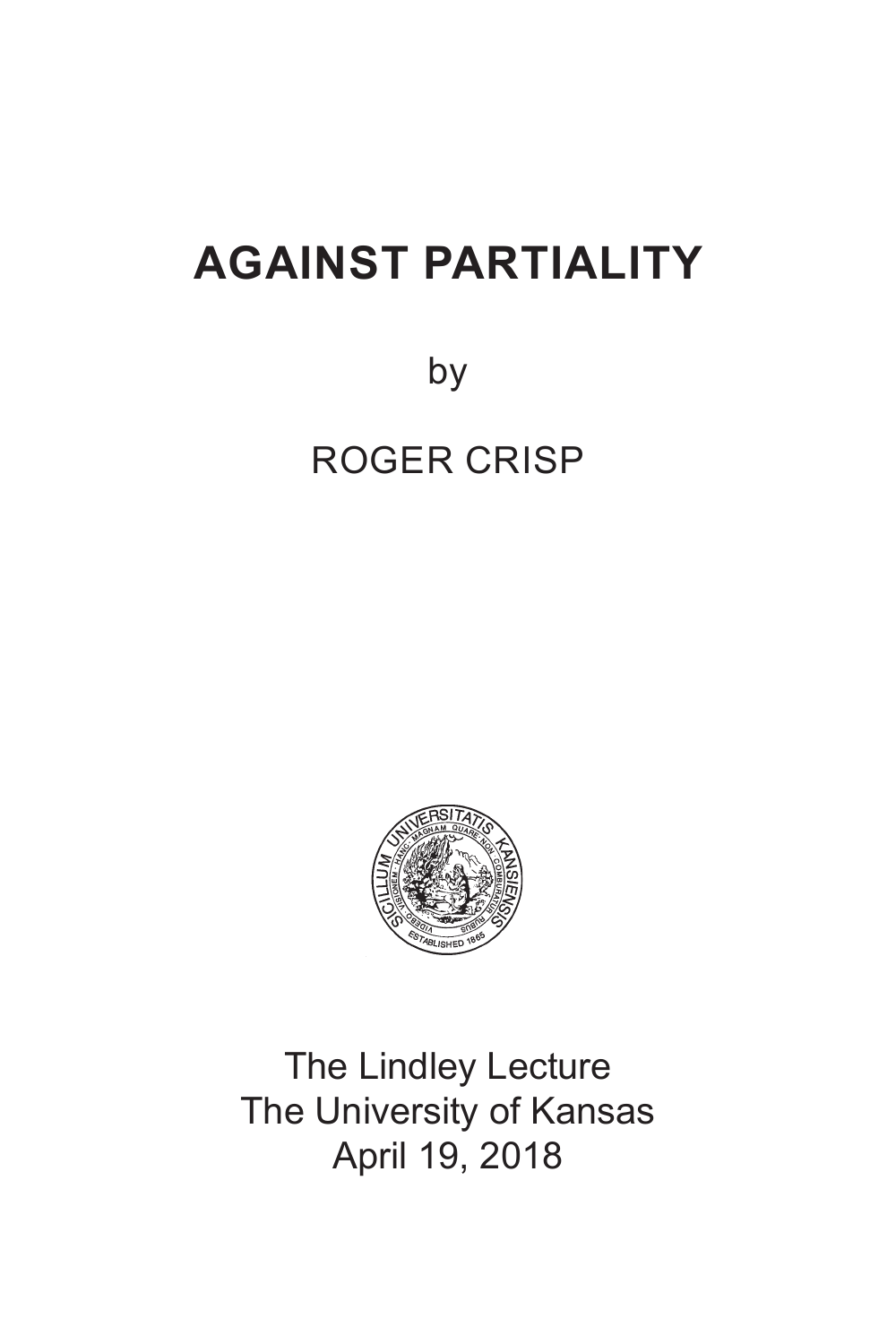## **AGAINST PARTIALITY**

by

ROGER CRISP



The Lindley Lecture The University of Kansas April 19, 2018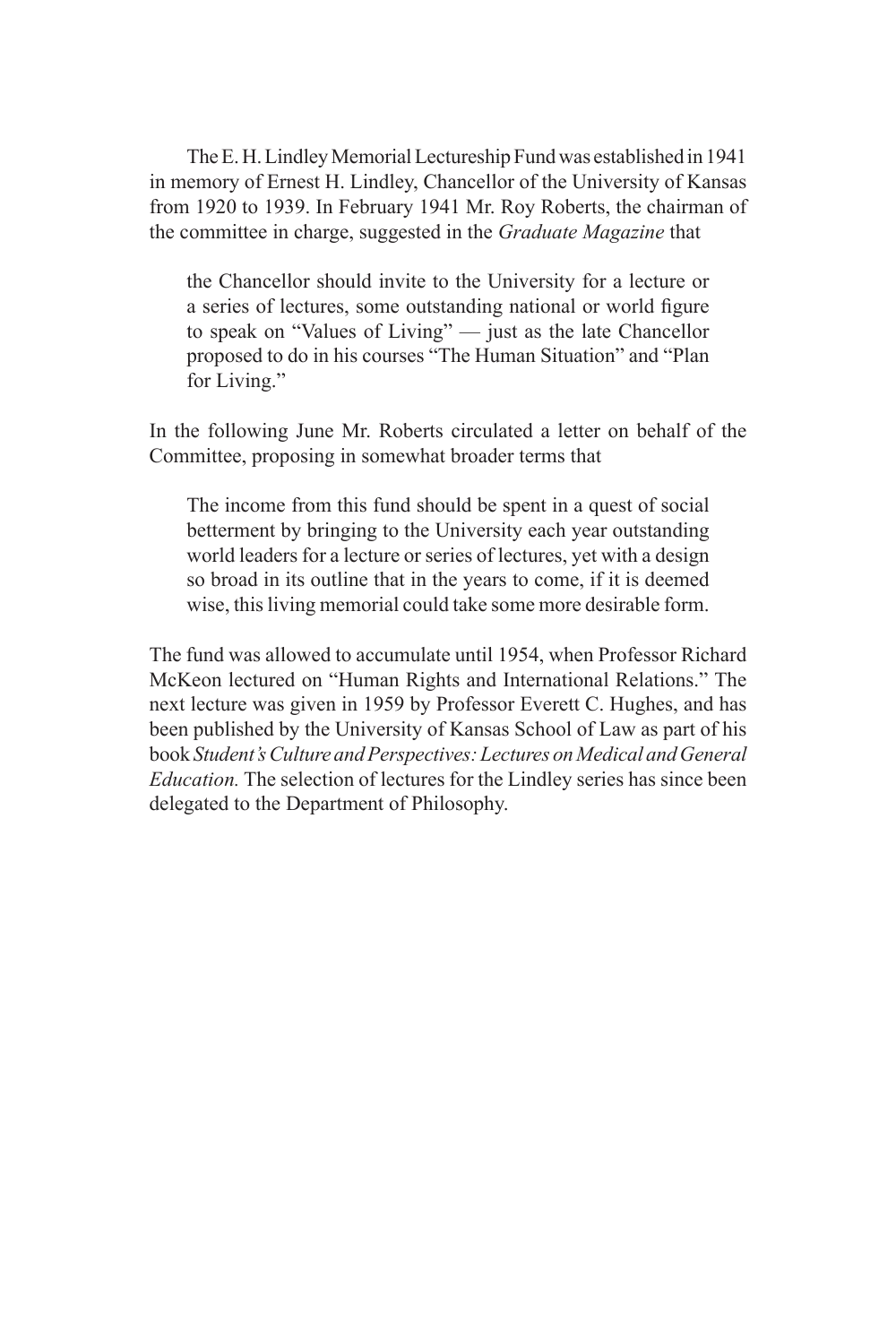The E. H. Lindley Memorial Lectureship Fund was established in 1941 in memory of Ernest H. Lindley, Chancellor of the University of Kansas from 1920 to 1939. In February 1941 Mr. Roy Roberts, the chairman of the committee in charge, suggested in the *Graduate Magazine* that

the Chancellor should invite to the University for a lecture or a series of lectures, some outstanding national or world figure to speak on "Values of Living" — just as the late Chancellor proposed to do in his courses "The Human Situation" and "Plan for Living."

In the following June Mr. Roberts circulated a letter on behalf of the Committee, proposing in somewhat broader terms that

The income from this fund should be spent in a quest of social betterment by bringing to the University each year outstanding world leaders for a lecture or series of lectures, yet with a design so broad in its outline that in the years to come, if it is deemed wise, this living memorial could take some more desirable form.

The fund was allowed to accumulate until 1954, when Professor Richard McKeon lectured on "Human Rights and International Relations." The next lecture was given in 1959 by Professor Everett C. Hughes, and has been published by the University of Kansas School of Law as part of his book *Student's Culture and Perspectives: Lectures on Medical and General Education.* The selection of lectures for the Lindley series has since been delegated to the Department of Philosophy.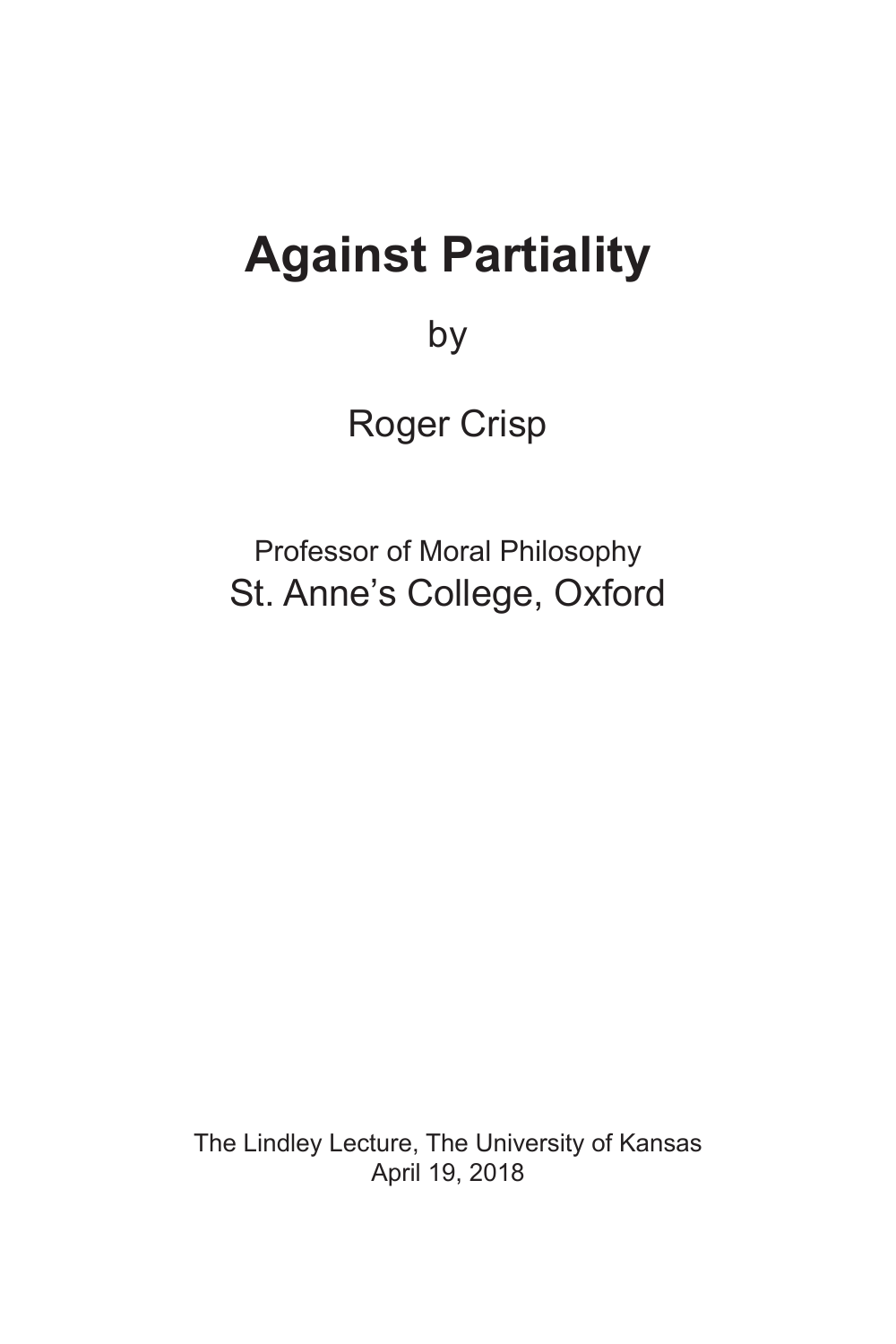# **Against Partiality**

by

Roger Crisp

Professor of Moral Philosophy St. Anne's College, Oxford

The Lindley Lecture, The University of Kansas April 19, 2018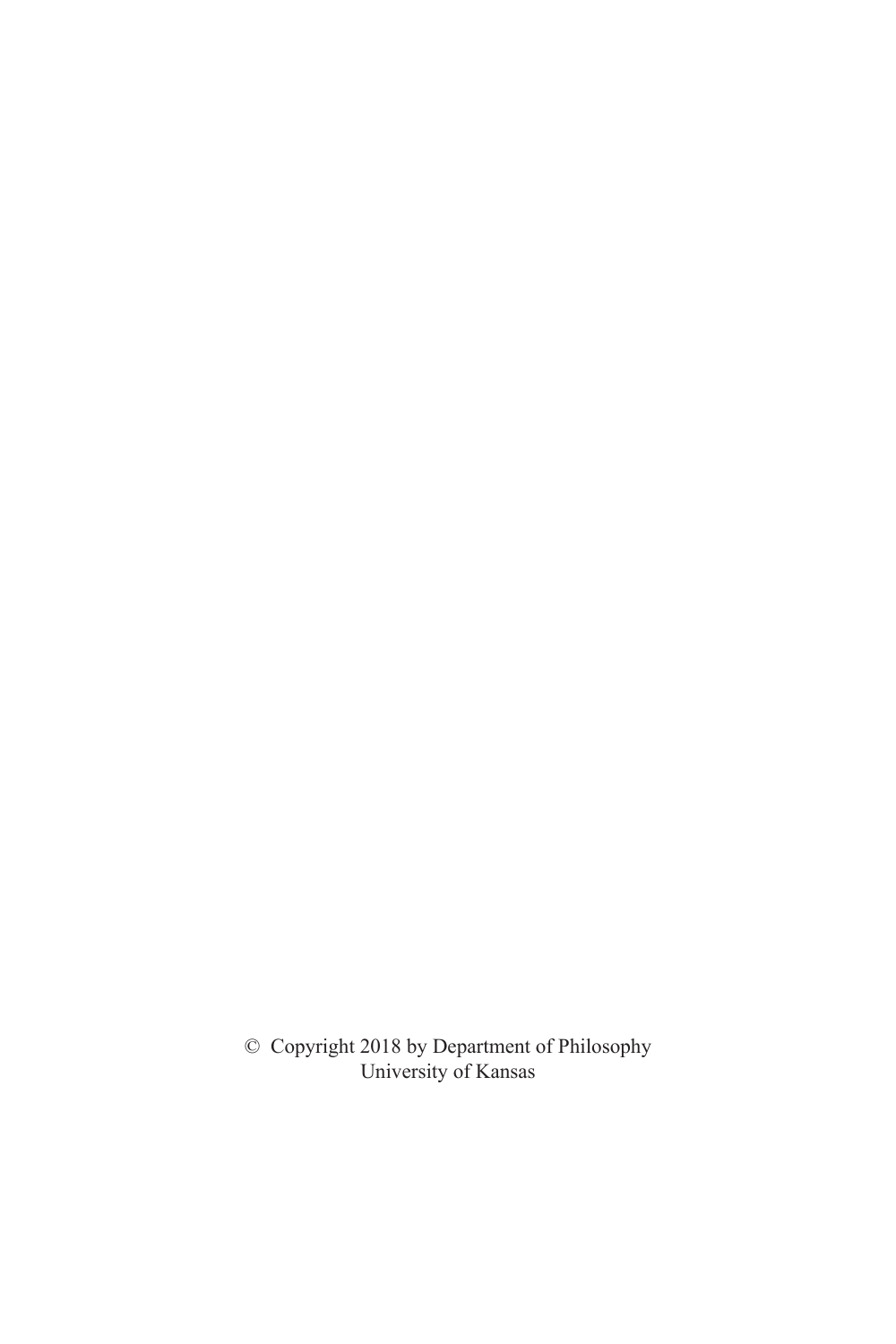© Copyright 2018 by Department of Philosophy University of Kansas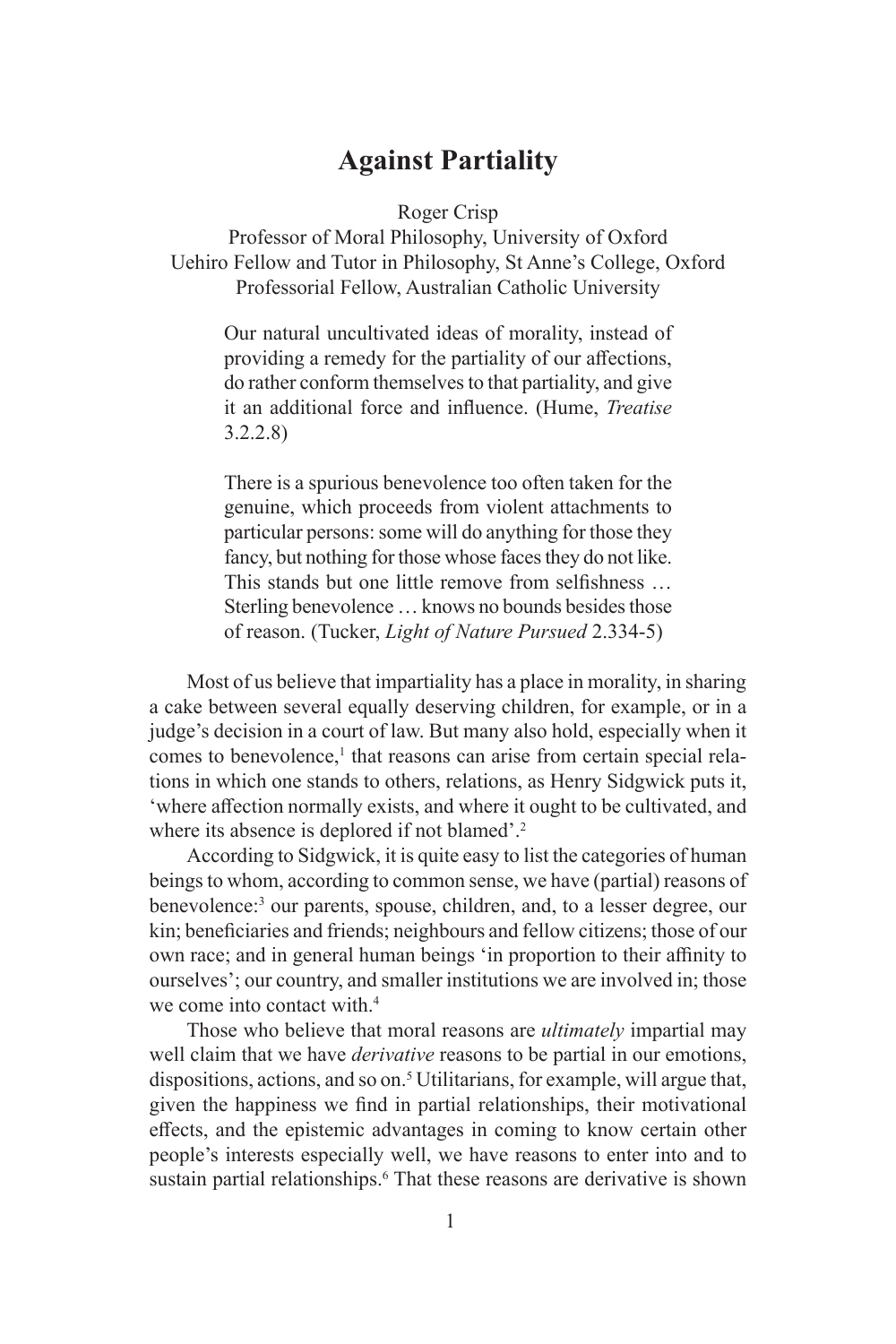### **Against Partiality**

Roger Crisp

Professor of Moral Philosophy, University of Oxford Uehiro Fellow and Tutor in Philosophy, St Anne's College, Oxford Professorial Fellow, Australian Catholic University

Our natural uncultivated ideas of morality, instead of providing a remedy for the partiality of our affections, do rather conform themselves to that partiality, and give it an additional force and influence. (Hume, *Treatise* 3.2.2.8)

There is a spurious benevolence too often taken for the genuine, which proceeds from violent attachments to particular persons: some will do anything for those they fancy, but nothing for those whose faces they do not like. This stands but one little remove from selfishness … Sterling benevolence … knows no bounds besides those of reason. (Tucker, *Light of Nature Pursued* 2.334-5)

Most of us believe that impartiality has a place in morality, in sharing a cake between several equally deserving children, for example, or in a judge's decision in a court of law. But many also hold, especially when it comes to benevolence,<sup>1</sup> that reasons can arise from certain special relations in which one stands to others, relations, as Henry Sidgwick puts it, 'where affection normally exists, and where it ought to be cultivated, and where its absence is deplored if not blamed'.<sup>2</sup>

According to Sidgwick, it is quite easy to list the categories of human beings to whom, according to common sense, we have (partial) reasons of benevolence:3 our parents, spouse, children, and, to a lesser degree, our kin; beneficiaries and friends; neighbours and fellow citizens; those of our own race; and in general human beings 'in proportion to their affinity to ourselves'; our country, and smaller institutions we are involved in; those we come into contact with.<sup>4</sup>

Those who believe that moral reasons are *ultimately* impartial may well claim that we have *derivative* reasons to be partial in our emotions, dispositions, actions, and so on.<sup>5</sup> Utilitarians, for example, will argue that, given the happiness we find in partial relationships, their motivational effects, and the epistemic advantages in coming to know certain other people's interests especially well, we have reasons to enter into and to sustain partial relationships.<sup>6</sup> That these reasons are derivative is shown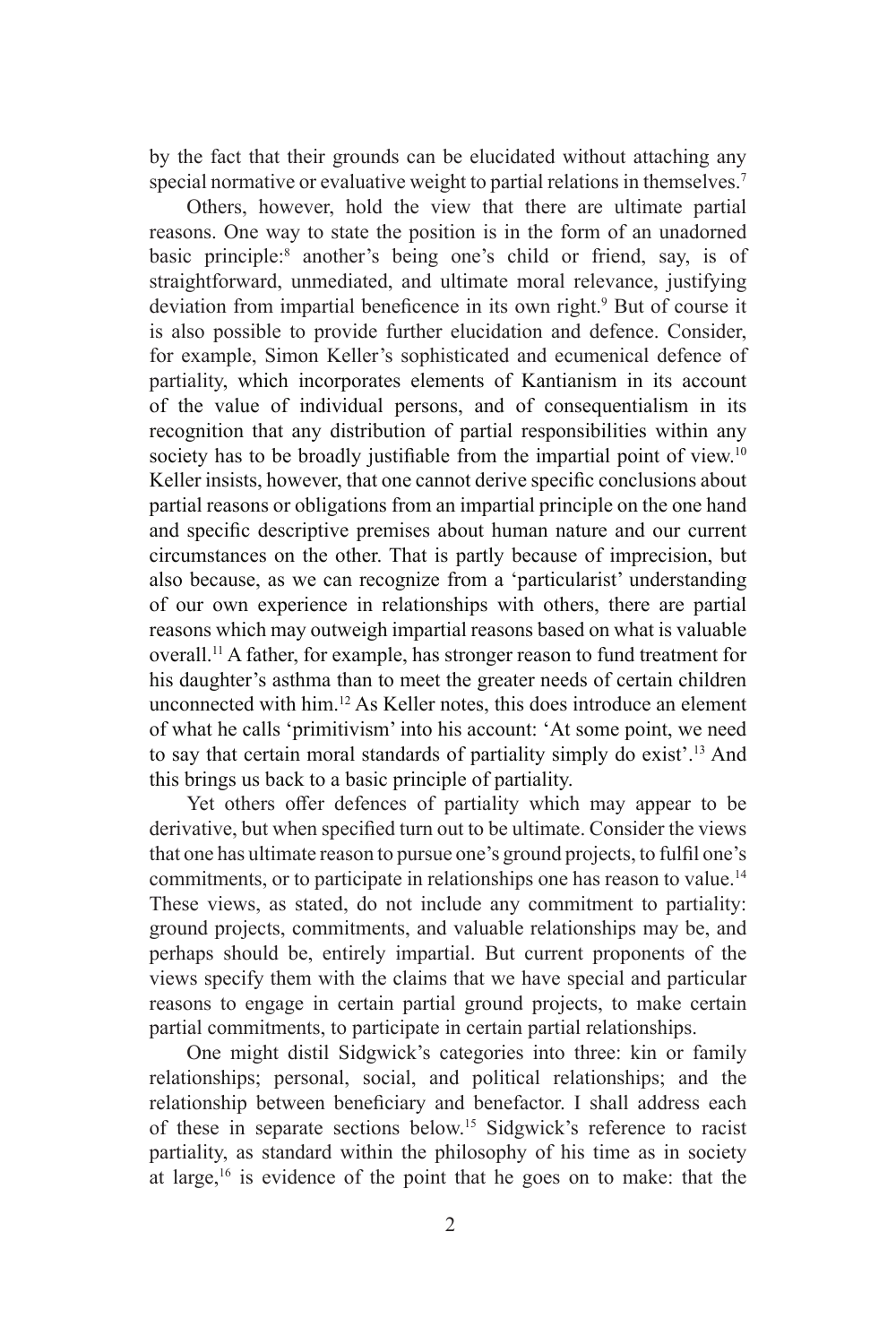by the fact that their grounds can be elucidated without attaching any special normative or evaluative weight to partial relations in themselves.<sup>7</sup>

Others, however, hold the view that there are ultimate partial reasons. One way to state the position is in the form of an unadorned basic principle:<sup>8</sup> another's being one's child or friend, say, is of straightforward, unmediated, and ultimate moral relevance, justifying deviation from impartial beneficence in its own right.<sup>9</sup> But of course it is also possible to provide further elucidation and defence. Consider, for example, Simon Keller's sophisticated and ecumenical defence of partiality, which incorporates elements of Kantianism in its account of the value of individual persons, and of consequentialism in its recognition that any distribution of partial responsibilities within any society has to be broadly justifiable from the impartial point of view.<sup>10</sup> Keller insists, however, that one cannot derive specific conclusions about partial reasons or obligations from an impartial principle on the one hand and specific descriptive premises about human nature and our current circumstances on the other. That is partly because of imprecision, but also because, as we can recognize from a 'particularist' understanding of our own experience in relationships with others, there are partial reasons which may outweigh impartial reasons based on what is valuable overall.11 A father, for example, has stronger reason to fund treatment for his daughter's asthma than to meet the greater needs of certain children unconnected with him.12 As Keller notes, this does introduce an element of what he calls 'primitivism' into his account: 'At some point, we need to say that certain moral standards of partiality simply do exist'.13 And this brings us back to a basic principle of partiality.

Yet others offer defences of partiality which may appear to be derivative, but when specified turn out to be ultimate. Consider the views that one has ultimate reason to pursue one's ground projects, to fulfil one's commitments, or to participate in relationships one has reason to value.<sup>14</sup> These views, as stated, do not include any commitment to partiality: ground projects, commitments, and valuable relationships may be, and perhaps should be, entirely impartial. But current proponents of the views specify them with the claims that we have special and particular reasons to engage in certain partial ground projects, to make certain partial commitments, to participate in certain partial relationships.

One might distil Sidgwick's categories into three: kin or family relationships; personal, social, and political relationships; and the relationship between beneficiary and benefactor. I shall address each of these in separate sections below.15 Sidgwick's reference to racist partiality, as standard within the philosophy of his time as in society at large, $16$  is evidence of the point that he goes on to make: that the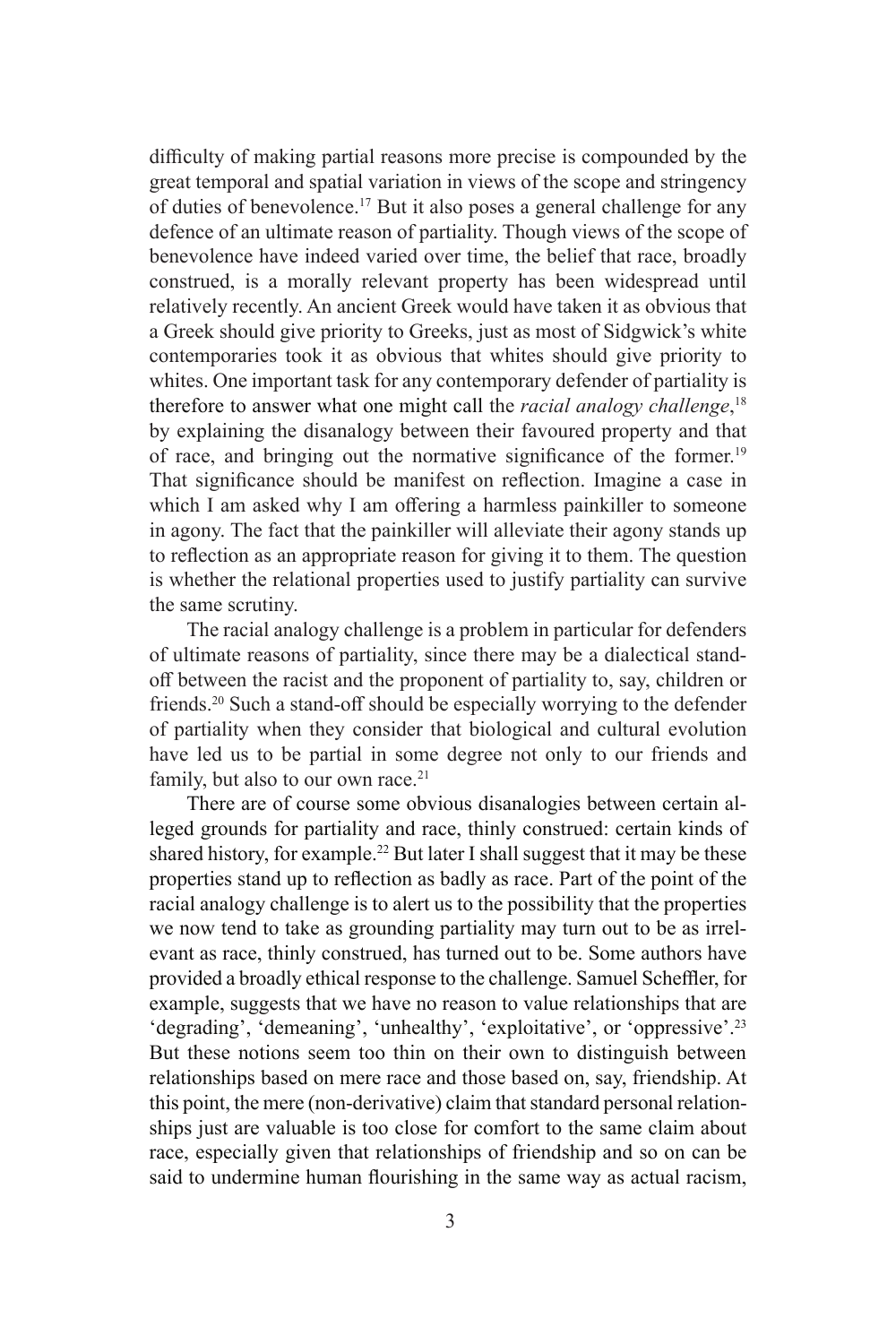difficulty of making partial reasons more precise is compounded by the great temporal and spatial variation in views of the scope and stringency of duties of benevolence.<sup>17</sup> But it also poses a general challenge for any defence of an ultimate reason of partiality. Though views of the scope of benevolence have indeed varied over time, the belief that race, broadly construed, is a morally relevant property has been widespread until relatively recently. An ancient Greek would have taken it as obvious that a Greek should give priority to Greeks, just as most of Sidgwick's white contemporaries took it as obvious that whites should give priority to whites. One important task for any contemporary defender of partiality is therefore to answer what one might call the *racial analogy challenge*, 18 by explaining the disanalogy between their favoured property and that of race, and bringing out the normative significance of the former.<sup>19</sup> That significance should be manifest on reflection. Imagine a case in which I am asked why I am offering a harmless painkiller to someone in agony. The fact that the painkiller will alleviate their agony stands up to reflection as an appropriate reason for giving it to them. The question is whether the relational properties used to justify partiality can survive the same scrutiny.

The racial analogy challenge is a problem in particular for defenders of ultimate reasons of partiality, since there may be a dialectical standoff between the racist and the proponent of partiality to, say, children or friends.20 Such a stand-off should be especially worrying to the defender of partiality when they consider that biological and cultural evolution have led us to be partial in some degree not only to our friends and family, but also to our own race.<sup>21</sup>

There are of course some obvious disanalogies between certain alleged grounds for partiality and race, thinly construed: certain kinds of shared history, for example.<sup>22</sup> But later I shall suggest that it may be these properties stand up to reflection as badly as race. Part of the point of the racial analogy challenge is to alert us to the possibility that the properties we now tend to take as grounding partiality may turn out to be as irrelevant as race, thinly construed, has turned out to be. Some authors have provided a broadly ethical response to the challenge. Samuel Scheffler, for example, suggests that we have no reason to value relationships that are 'degrading', 'demeaning', 'unhealthy', 'exploitative', or 'oppressive'.23 But these notions seem too thin on their own to distinguish between relationships based on mere race and those based on, say, friendship. At this point, the mere (non-derivative) claim that standard personal relationships just are valuable is too close for comfort to the same claim about race, especially given that relationships of friendship and so on can be said to undermine human flourishing in the same way as actual racism,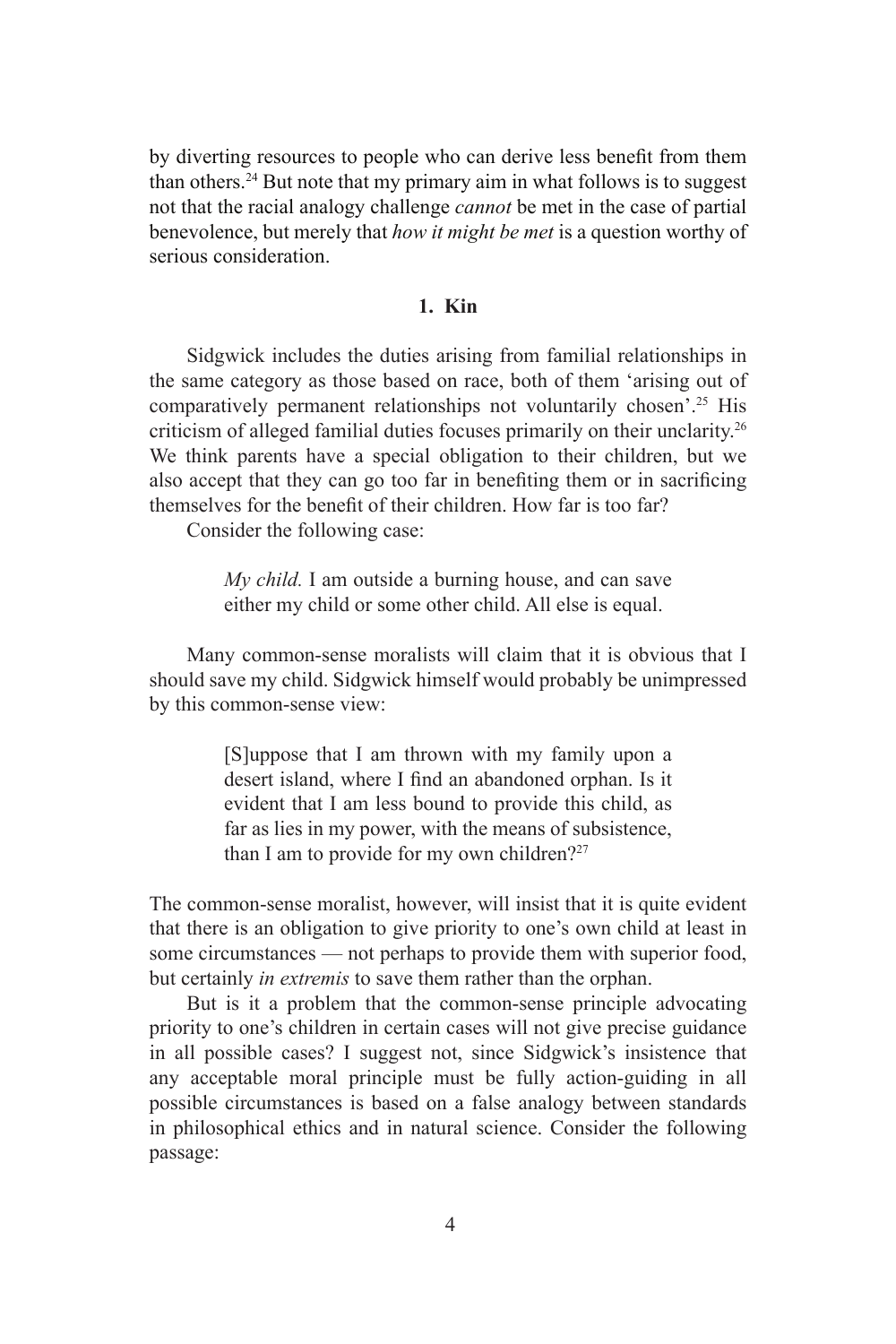by diverting resources to people who can derive less benefit from them than others.24 But note that my primary aim in what follows is to suggest not that the racial analogy challenge *cannot* be met in the case of partial benevolence, but merely that *how it might be met* is a question worthy of serious consideration.

### **1. Kin**

Sidgwick includes the duties arising from familial relationships in the same category as those based on race, both of them 'arising out of comparatively permanent relationships not voluntarily chosen'.25 His criticism of alleged familial duties focuses primarily on their unclarity.26 We think parents have a special obligation to their children, but we also accept that they can go too far in benefiting them or in sacrificing themselves for the benefit of their children. How far is too far?

Consider the following case:

*My child.* I am outside a burning house, and can save either my child or some other child. All else is equal.

Many common-sense moralists will claim that it is obvious that I should save my child. Sidgwick himself would probably be unimpressed by this common-sense view:

> [S]uppose that I am thrown with my family upon a desert island, where I find an abandoned orphan. Is it evident that I am less bound to provide this child, as far as lies in my power, with the means of subsistence, than I am to provide for my own children?<sup>27</sup>

The common-sense moralist, however, will insist that it is quite evident that there is an obligation to give priority to one's own child at least in some circumstances — not perhaps to provide them with superior food, but certainly *in extremis* to save them rather than the orphan.

But is it a problem that the common-sense principle advocating priority to one's children in certain cases will not give precise guidance in all possible cases? I suggest not, since Sidgwick's insistence that any acceptable moral principle must be fully action-guiding in all possible circumstances is based on a false analogy between standards in philosophical ethics and in natural science. Consider the following passage: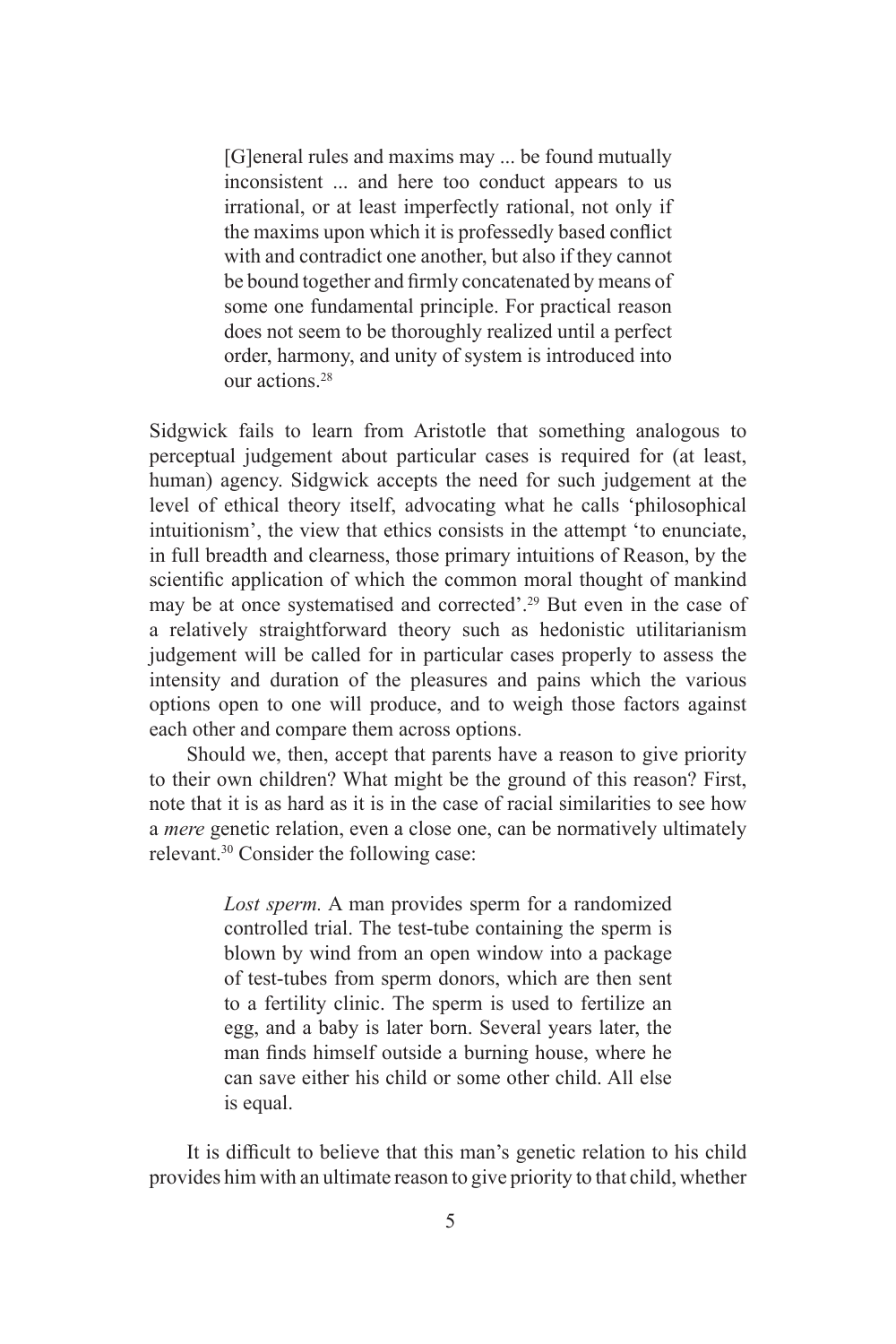[G]eneral rules and maxims may ... be found mutually inconsistent ... and here too conduct appears to us irrational, or at least imperfectly rational, not only if the maxims upon which it is professedly based conflict with and contradict one another, but also if they cannot be bound together and firmly concatenated by means of some one fundamental principle. For practical reason does not seem to be thoroughly realized until a perfect order, harmony, and unity of system is introduced into our actions.28

Sidgwick fails to learn from Aristotle that something analogous to perceptual judgement about particular cases is required for (at least, human) agency. Sidgwick accepts the need for such judgement at the level of ethical theory itself, advocating what he calls 'philosophical intuitionism', the view that ethics consists in the attempt 'to enunciate, in full breadth and clearness, those primary intuitions of Reason, by the scientific application of which the common moral thought of mankind may be at once systematised and corrected'.29 But even in the case of a relatively straightforward theory such as hedonistic utilitarianism judgement will be called for in particular cases properly to assess the intensity and duration of the pleasures and pains which the various options open to one will produce, and to weigh those factors against each other and compare them across options.

Should we, then, accept that parents have a reason to give priority to their own children? What might be the ground of this reason? First, note that it is as hard as it is in the case of racial similarities to see how a *mere* genetic relation, even a close one, can be normatively ultimately relevant.30 Consider the following case:

> *Lost sperm.* A man provides sperm for a randomized controlled trial. The test-tube containing the sperm is blown by wind from an open window into a package of test-tubes from sperm donors, which are then sent to a fertility clinic. The sperm is used to fertilize an egg, and a baby is later born. Several years later, the man finds himself outside a burning house, where he can save either his child or some other child. All else is equal.

It is difficult to believe that this man's genetic relation to his child provides him with an ultimate reason to give priority to that child, whether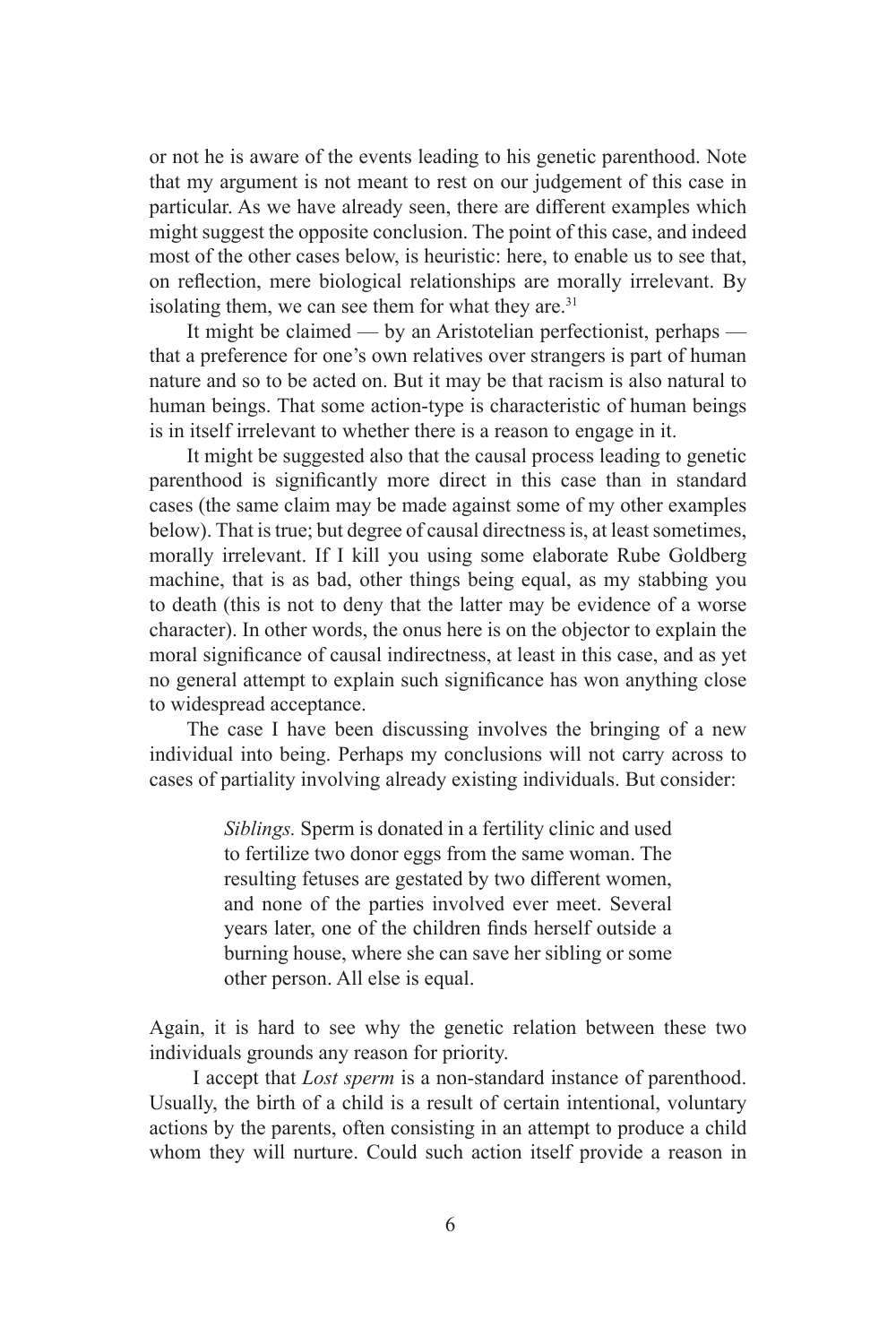or not he is aware of the events leading to his genetic parenthood. Note that my argument is not meant to rest on our judgement of this case in particular. As we have already seen, there are different examples which might suggest the opposite conclusion. The point of this case, and indeed most of the other cases below, is heuristic: here, to enable us to see that, on reflection, mere biological relationships are morally irrelevant. By isolating them, we can see them for what they are. $31$ 

It might be claimed — by an Aristotelian perfectionist, perhaps that a preference for one's own relatives over strangers is part of human nature and so to be acted on. But it may be that racism is also natural to human beings. That some action-type is characteristic of human beings is in itself irrelevant to whether there is a reason to engage in it.

It might be suggested also that the causal process leading to genetic parenthood is significantly more direct in this case than in standard cases (the same claim may be made against some of my other examples below). That is true; but degree of causal directness is, at least sometimes, morally irrelevant. If I kill you using some elaborate Rube Goldberg machine, that is as bad, other things being equal, as my stabbing you to death (this is not to deny that the latter may be evidence of a worse character). In other words, the onus here is on the objector to explain the moral significance of causal indirectness, at least in this case, and as yet no general attempt to explain such significance has won anything close to widespread acceptance.

The case I have been discussing involves the bringing of a new individual into being. Perhaps my conclusions will not carry across to cases of partiality involving already existing individuals. But consider:

> *Siblings.* Sperm is donated in a fertility clinic and used to fertilize two donor eggs from the same woman. The resulting fetuses are gestated by two different women, and none of the parties involved ever meet. Several years later, one of the children finds herself outside a burning house, where she can save her sibling or some other person. All else is equal.

Again, it is hard to see why the genetic relation between these two individuals grounds any reason for priority.

 I accept that *Lost sperm* is a non-standard instance of parenthood. Usually, the birth of a child is a result of certain intentional, voluntary actions by the parents, often consisting in an attempt to produce a child whom they will nurture. Could such action itself provide a reason in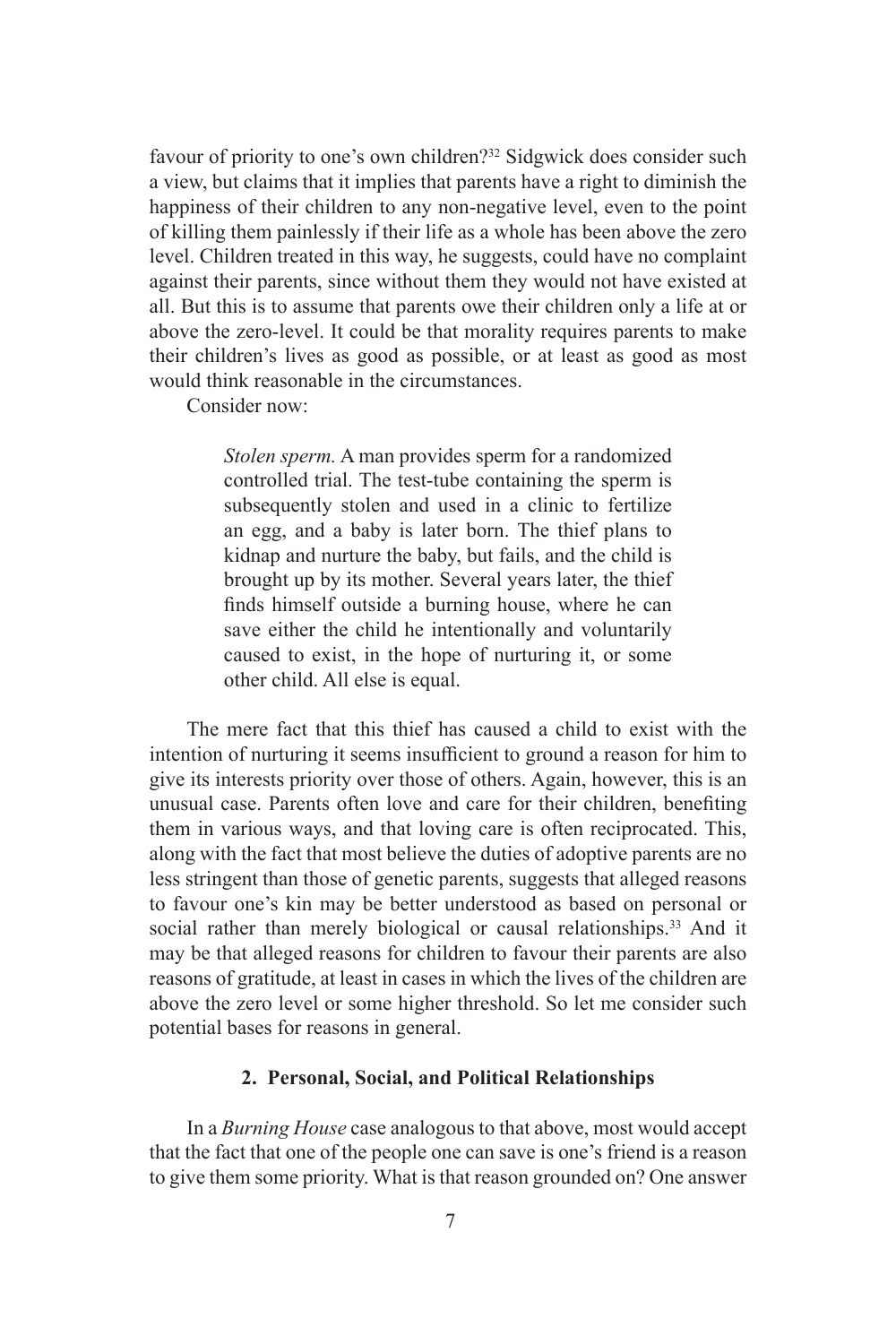favour of priority to one's own children?32 Sidgwick does consider such a view, but claims that it implies that parents have a right to diminish the happiness of their children to any non-negative level, even to the point of killing them painlessly if their life as a whole has been above the zero level. Children treated in this way, he suggests, could have no complaint against their parents, since without them they would not have existed at all. But this is to assume that parents owe their children only a life at or above the zero-level. It could be that morality requires parents to make their children's lives as good as possible, or at least as good as most would think reasonable in the circumstances.

Consider now:

*Stolen sperm.* A man provides sperm for a randomized controlled trial. The test-tube containing the sperm is subsequently stolen and used in a clinic to fertilize an egg, and a baby is later born. The thief plans to kidnap and nurture the baby, but fails, and the child is brought up by its mother. Several years later, the thief finds himself outside a burning house, where he can save either the child he intentionally and voluntarily caused to exist, in the hope of nurturing it, or some other child. All else is equal.

The mere fact that this thief has caused a child to exist with the intention of nurturing it seems insufficient to ground a reason for him to give its interests priority over those of others. Again, however, this is an unusual case. Parents often love and care for their children, benefiting them in various ways, and that loving care is often reciprocated. This, along with the fact that most believe the duties of adoptive parents are no less stringent than those of genetic parents, suggests that alleged reasons to favour one's kin may be better understood as based on personal or social rather than merely biological or causal relationships.<sup>33</sup> And it may be that alleged reasons for children to favour their parents are also reasons of gratitude, at least in cases in which the lives of the children are above the zero level or some higher threshold. So let me consider such potential bases for reasons in general.

#### **2. Personal, Social, and Political Relationships**

In a *Burning House* case analogous to that above, most would accept that the fact that one of the people one can save is one's friend is a reason to give them some priority. What is that reason grounded on? One answer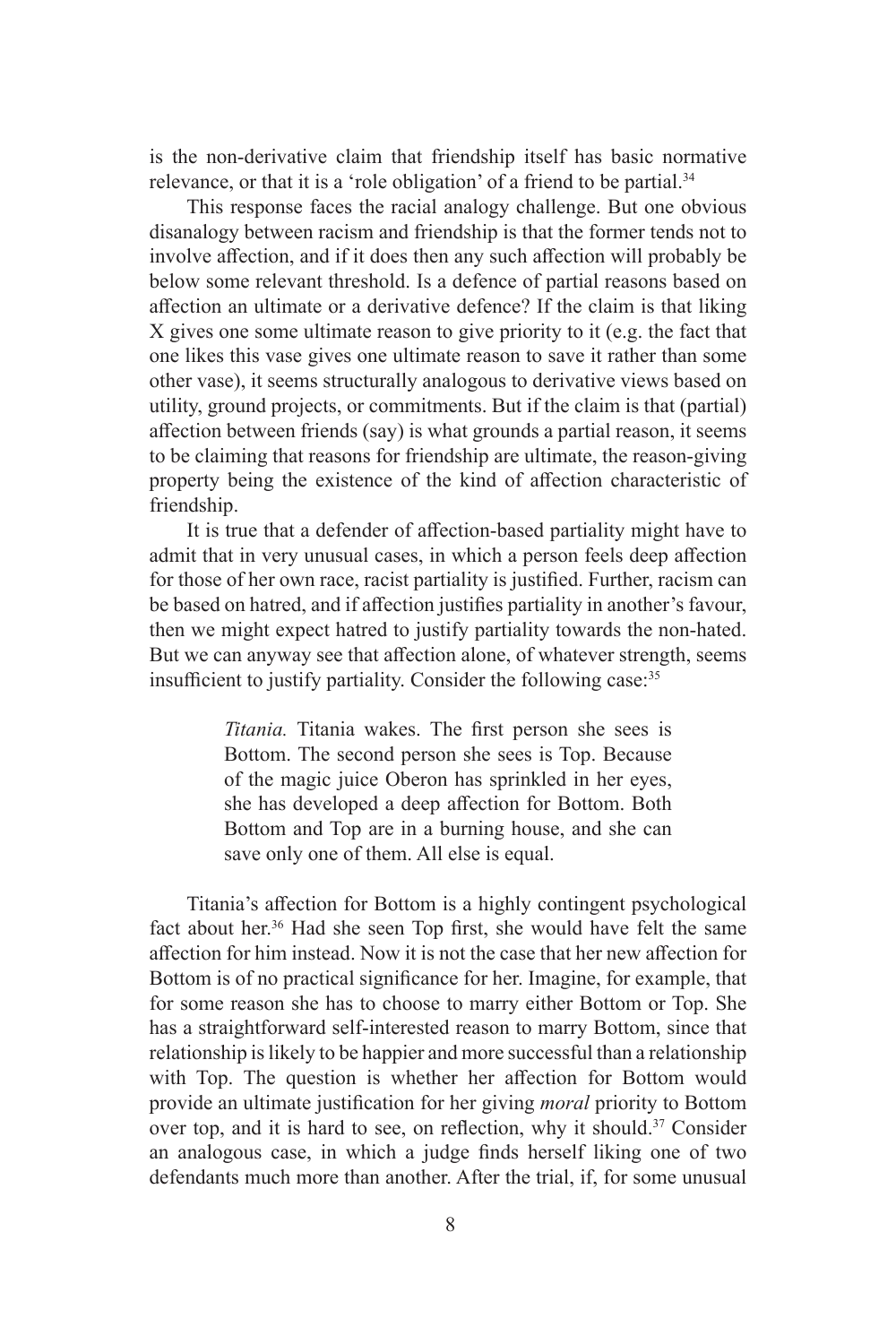is the non-derivative claim that friendship itself has basic normative relevance, or that it is a 'role obligation' of a friend to be partial.<sup>34</sup>

This response faces the racial analogy challenge. But one obvious disanalogy between racism and friendship is that the former tends not to involve affection, and if it does then any such affection will probably be below some relevant threshold. Is a defence of partial reasons based on affection an ultimate or a derivative defence? If the claim is that liking X gives one some ultimate reason to give priority to it (e.g. the fact that one likes this vase gives one ultimate reason to save it rather than some other vase), it seems structurally analogous to derivative views based on utility, ground projects, or commitments. But if the claim is that (partial) affection between friends (say) is what grounds a partial reason, it seems to be claiming that reasons for friendship are ultimate, the reason-giving property being the existence of the kind of affection characteristic of friendship.

It is true that a defender of affection-based partiality might have to admit that in very unusual cases, in which a person feels deep affection for those of her own race, racist partiality is justified. Further, racism can be based on hatred, and if affection justifies partiality in another's favour, then we might expect hatred to justify partiality towards the non-hated. But we can anyway see that affection alone, of whatever strength, seems insufficient to justify partiality. Consider the following case:35

> *Titania.* Titania wakes. The first person she sees is Bottom. The second person she sees is Top. Because of the magic juice Oberon has sprinkled in her eyes, she has developed a deep affection for Bottom. Both Bottom and Top are in a burning house, and she can save only one of them. All else is equal.

Titania's affection for Bottom is a highly contingent psychological fact about her.<sup>36</sup> Had she seen Top first, she would have felt the same affection for him instead. Now it is not the case that her new affection for Bottom is of no practical significance for her. Imagine, for example, that for some reason she has to choose to marry either Bottom or Top. She has a straightforward self-interested reason to marry Bottom, since that relationship is likely to be happier and more successful than a relationship with Top. The question is whether her affection for Bottom would provide an ultimate justification for her giving *moral* priority to Bottom over top, and it is hard to see, on reflection, why it should.<sup>37</sup> Consider an analogous case, in which a judge finds herself liking one of two defendants much more than another. After the trial, if, for some unusual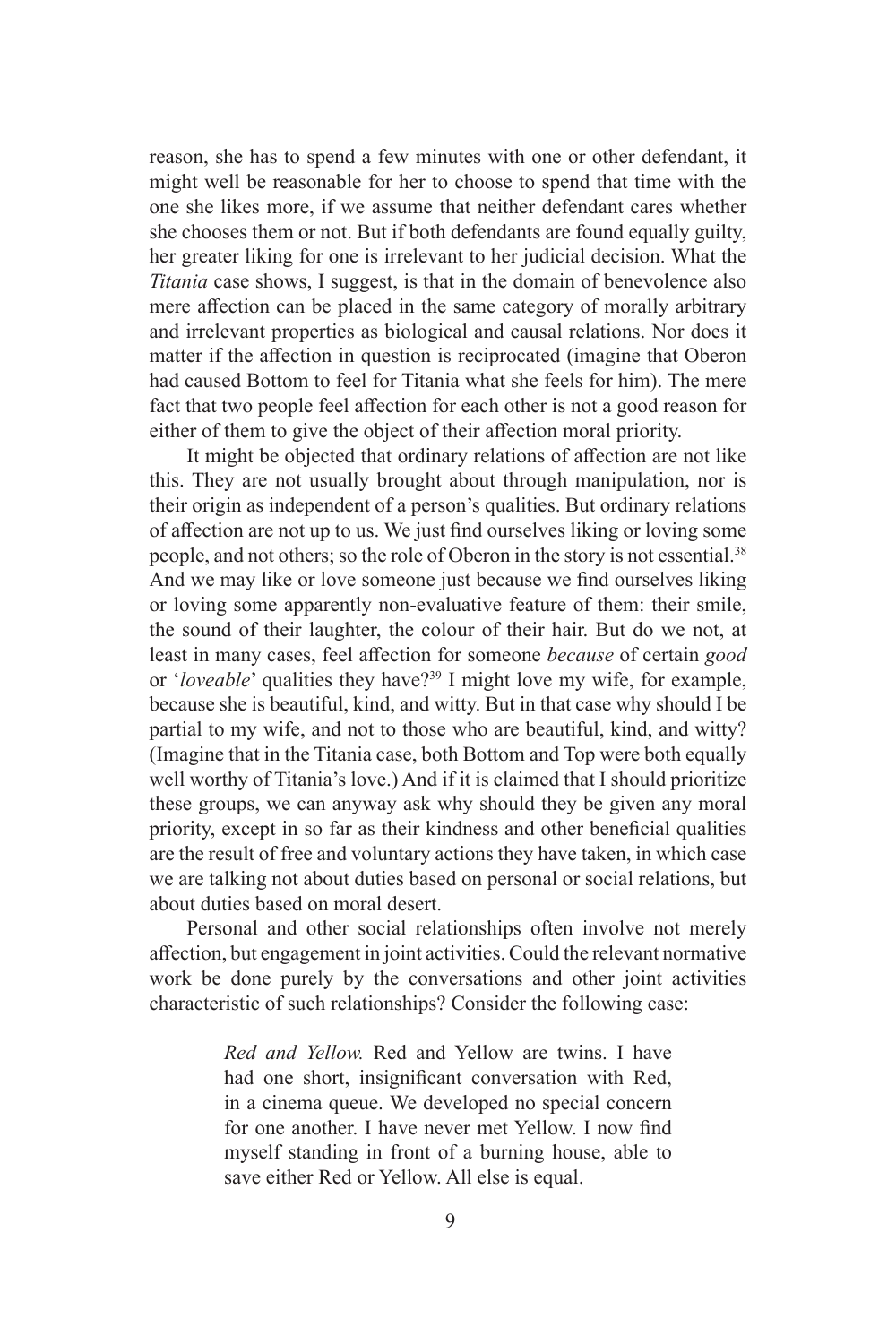reason, she has to spend a few minutes with one or other defendant, it might well be reasonable for her to choose to spend that time with the one she likes more, if we assume that neither defendant cares whether she chooses them or not. But if both defendants are found equally guilty, her greater liking for one is irrelevant to her judicial decision. What the *Titania* case shows, I suggest, is that in the domain of benevolence also mere affection can be placed in the same category of morally arbitrary and irrelevant properties as biological and causal relations. Nor does it matter if the affection in question is reciprocated (imagine that Oberon had caused Bottom to feel for Titania what she feels for him). The mere fact that two people feel affection for each other is not a good reason for either of them to give the object of their affection moral priority.

It might be objected that ordinary relations of affection are not like this. They are not usually brought about through manipulation, nor is their origin as independent of a person's qualities. But ordinary relations of affection are not up to us. We just find ourselves liking or loving some people, and not others; so the role of Oberon in the story is not essential.38 And we may like or love someone just because we find ourselves liking or loving some apparently non-evaluative feature of them: their smile, the sound of their laughter, the colour of their hair. But do we not, at least in many cases, feel affection for someone *because* of certain *good*  or 'loveable' qualities they have?<sup>39</sup> I might love my wife, for example, because she is beautiful, kind, and witty. But in that case why should I be partial to my wife, and not to those who are beautiful, kind, and witty? (Imagine that in the Titania case, both Bottom and Top were both equally well worthy of Titania's love.) And if it is claimed that I should prioritize these groups, we can anyway ask why should they be given any moral priority, except in so far as their kindness and other beneficial qualities are the result of free and voluntary actions they have taken, in which case we are talking not about duties based on personal or social relations, but about duties based on moral desert.

Personal and other social relationships often involve not merely affection, but engagement in joint activities. Could the relevant normative work be done purely by the conversations and other joint activities characteristic of such relationships? Consider the following case:

> *Red and Yellow.* Red and Yellow are twins. I have had one short, insignificant conversation with Red, in a cinema queue. We developed no special concern for one another. I have never met Yellow. I now find myself standing in front of a burning house, able to save either Red or Yellow. All else is equal.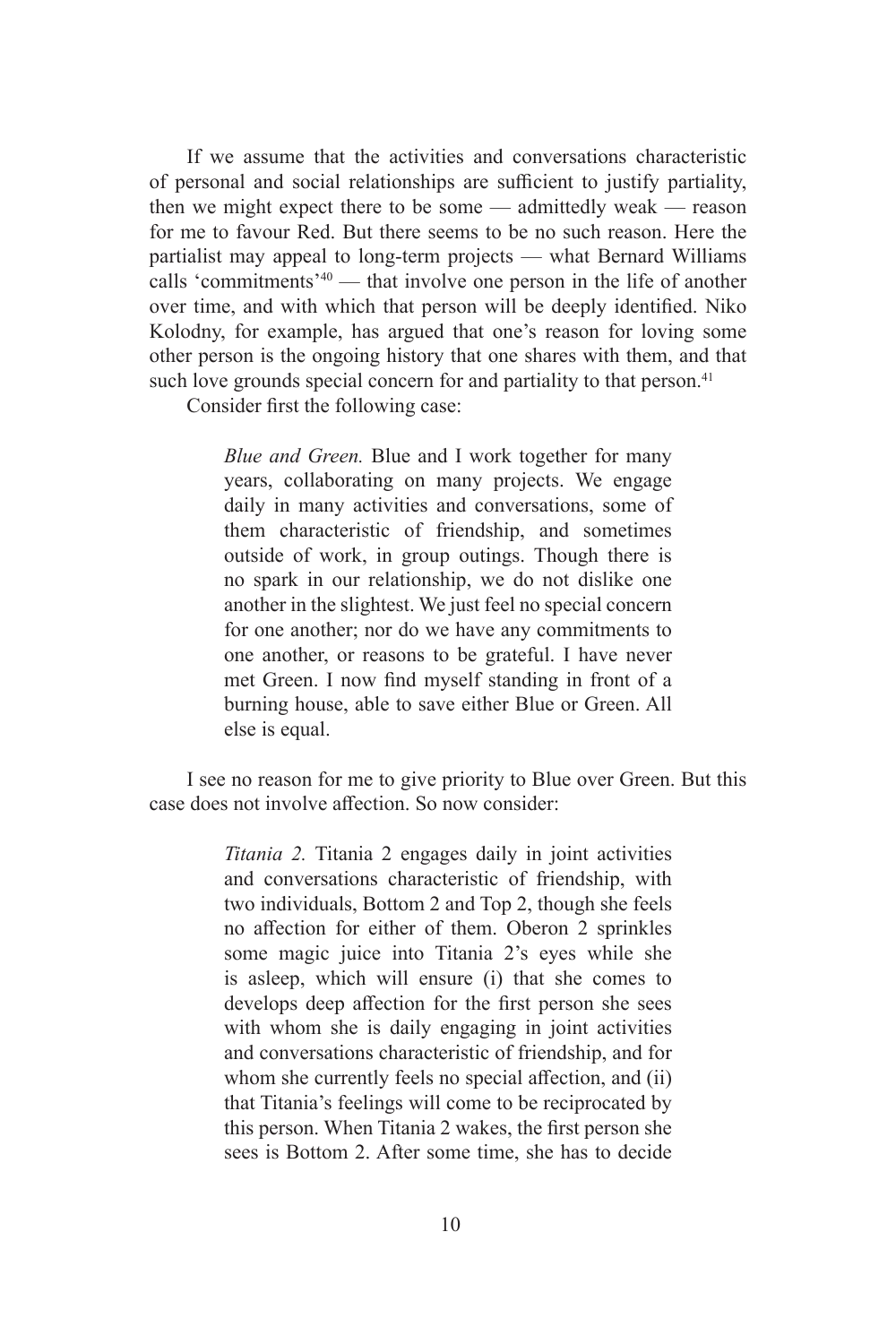If we assume that the activities and conversations characteristic of personal and social relationships are sufficient to justify partiality, then we might expect there to be some — admittedly weak — reason for me to favour Red. But there seems to be no such reason. Here the partialist may appeal to long-term projects — what Bernard Williams calls 'commitments'<sup>40</sup> — that involve one person in the life of another over time, and with which that person will be deeply identified. Niko Kolodny, for example, has argued that one's reason for loving some other person is the ongoing history that one shares with them, and that such love grounds special concern for and partiality to that person.<sup>41</sup>

Consider first the following case:

*Blue and Green.* Blue and I work together for many years, collaborating on many projects. We engage daily in many activities and conversations, some of them characteristic of friendship, and sometimes outside of work, in group outings. Though there is no spark in our relationship, we do not dislike one another in the slightest. We just feel no special concern for one another; nor do we have any commitments to one another, or reasons to be grateful. I have never met Green. I now find myself standing in front of a burning house, able to save either Blue or Green. All else is equal.

I see no reason for me to give priority to Blue over Green. But this case does not involve affection. So now consider:

> *Titania 2.* Titania 2 engages daily in joint activities and conversations characteristic of friendship, with two individuals, Bottom 2 and Top 2, though she feels no affection for either of them. Oberon 2 sprinkles some magic juice into Titania 2's eyes while she is asleep, which will ensure (i) that she comes to develops deep affection for the first person she sees with whom she is daily engaging in joint activities and conversations characteristic of friendship, and for whom she currently feels no special affection, and (ii) that Titania's feelings will come to be reciprocated by this person. When Titania 2 wakes, the first person she sees is Bottom 2. After some time, she has to decide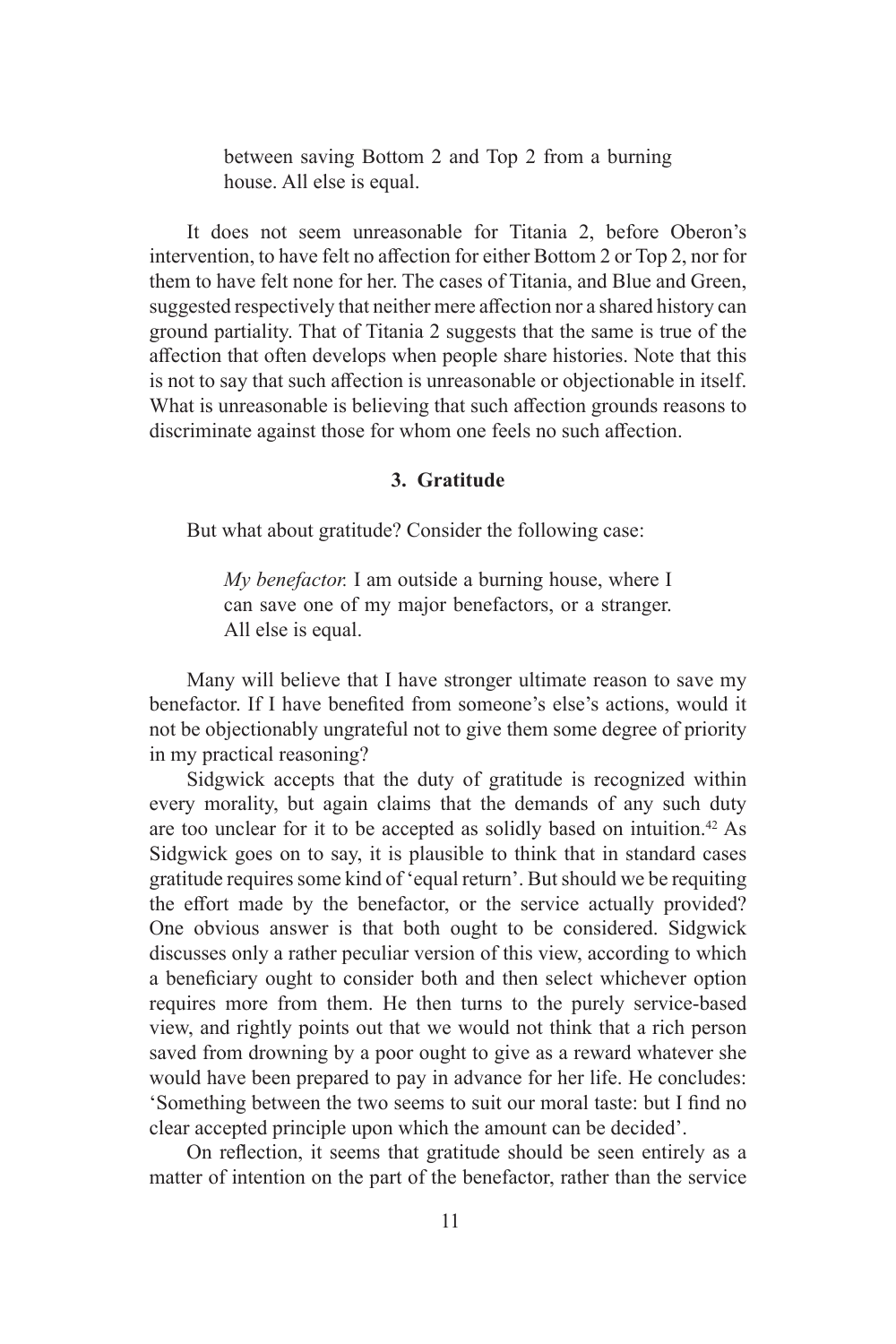between saving Bottom 2 and Top 2 from a burning house. All else is equal.

It does not seem unreasonable for Titania 2, before Oberon's intervention, to have felt no affection for either Bottom 2 or Top 2, nor for them to have felt none for her. The cases of Titania, and Blue and Green, suggested respectively that neither mere affection nor a shared history can ground partiality. That of Titania 2 suggests that the same is true of the affection that often develops when people share histories. Note that this is not to say that such affection is unreasonable or objectionable in itself. What is unreasonable is believing that such affection grounds reasons to discriminate against those for whom one feels no such affection.

#### **3. Gratitude**

But what about gratitude? Consider the following case:

*My benefactor.* I am outside a burning house, where I can save one of my major benefactors, or a stranger. All else is equal.

Many will believe that I have stronger ultimate reason to save my benefactor. If I have benefited from someone's else's actions, would it not be objectionably ungrateful not to give them some degree of priority in my practical reasoning?

Sidgwick accepts that the duty of gratitude is recognized within every morality, but again claims that the demands of any such duty are too unclear for it to be accepted as solidly based on intuition.42 As Sidgwick goes on to say, it is plausible to think that in standard cases gratitude requires some kind of 'equal return'. But should we be requiting the effort made by the benefactor, or the service actually provided? One obvious answer is that both ought to be considered. Sidgwick discusses only a rather peculiar version of this view, according to which a beneficiary ought to consider both and then select whichever option requires more from them. He then turns to the purely service-based view, and rightly points out that we would not think that a rich person saved from drowning by a poor ought to give as a reward whatever she would have been prepared to pay in advance for her life. He concludes: 'Something between the two seems to suit our moral taste: but I find no clear accepted principle upon which the amount can be decided'.

On reflection, it seems that gratitude should be seen entirely as a matter of intention on the part of the benefactor, rather than the service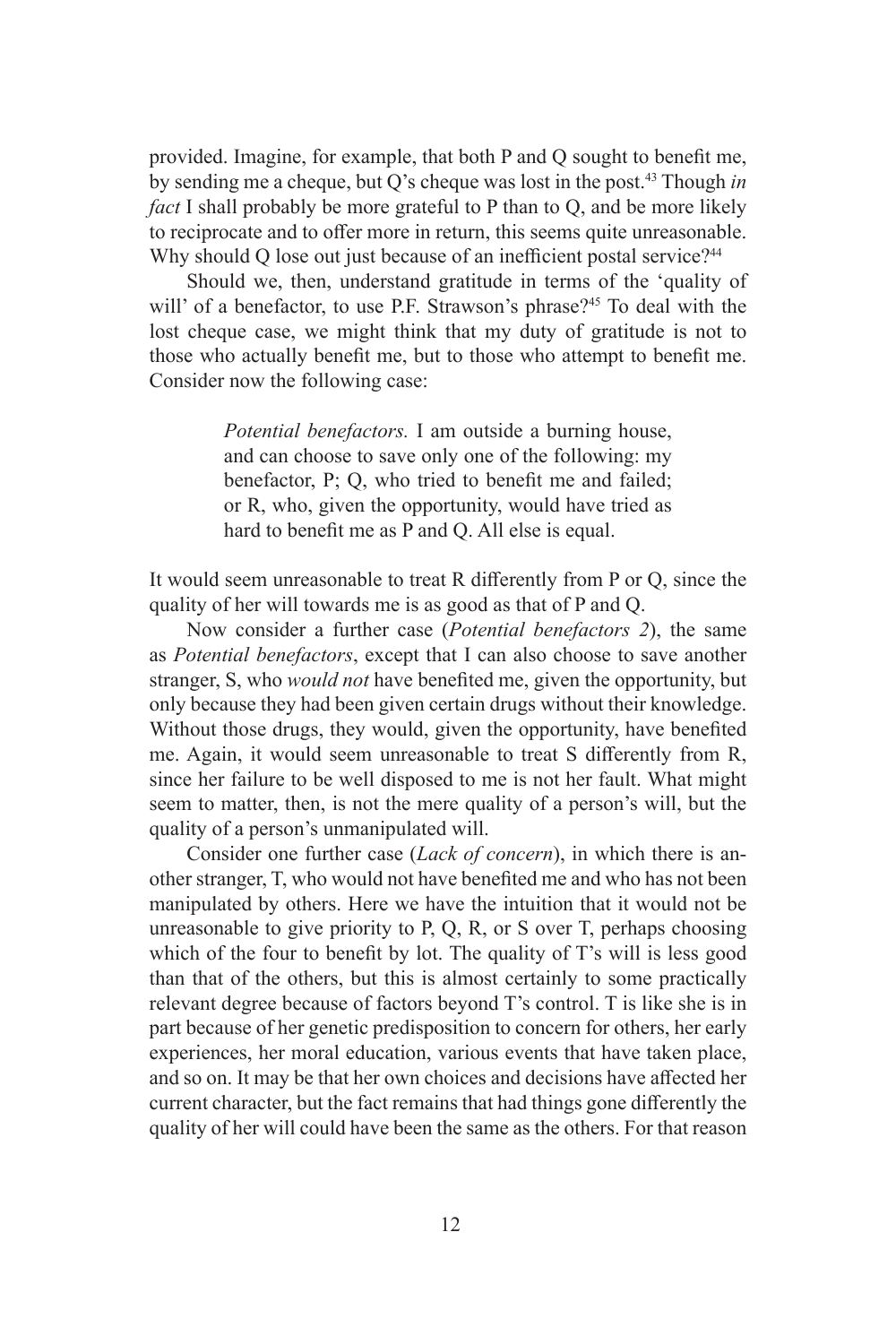provided. Imagine, for example, that both P and Q sought to benefit me, by sending me a cheque, but Q's cheque was lost in the post.43 Though *in fact* I shall probably be more grateful to P than to Q, and be more likely to reciprocate and to offer more in return, this seems quite unreasonable. Why should Q lose out just because of an inefficient postal service?<sup>44</sup>

Should we, then, understand gratitude in terms of the 'quality of will' of a benefactor, to use P.F. Strawson's phrase?<sup>45</sup> To deal with the lost cheque case, we might think that my duty of gratitude is not to those who actually benefit me, but to those who attempt to benefit me. Consider now the following case:

> *Potential benefactors.* I am outside a burning house, and can choose to save only one of the following: my benefactor, P; Q, who tried to benefit me and failed; or R, who, given the opportunity, would have tried as hard to benefit me as P and Q. All else is equal.

It would seem unreasonable to treat R differently from P or Q, since the quality of her will towards me is as good as that of P and Q.

Now consider a further case (*Potential benefactors 2*), the same as *Potential benefactors*, except that I can also choose to save another stranger, S, who *would not* have benefited me, given the opportunity, but only because they had been given certain drugs without their knowledge. Without those drugs, they would, given the opportunity, have benefited me. Again, it would seem unreasonable to treat S differently from R, since her failure to be well disposed to me is not her fault. What might seem to matter, then, is not the mere quality of a person's will, but the quality of a person's unmanipulated will.

Consider one further case (*Lack of concern*), in which there is another stranger, T, who would not have benefited me and who has not been manipulated by others. Here we have the intuition that it would not be unreasonable to give priority to P, Q, R, or S over T, perhaps choosing which of the four to benefit by lot. The quality of T's will is less good than that of the others, but this is almost certainly to some practically relevant degree because of factors beyond T's control. T is like she is in part because of her genetic predisposition to concern for others, her early experiences, her moral education, various events that have taken place, and so on. It may be that her own choices and decisions have affected her current character, but the fact remains that had things gone differently the quality of her will could have been the same as the others. For that reason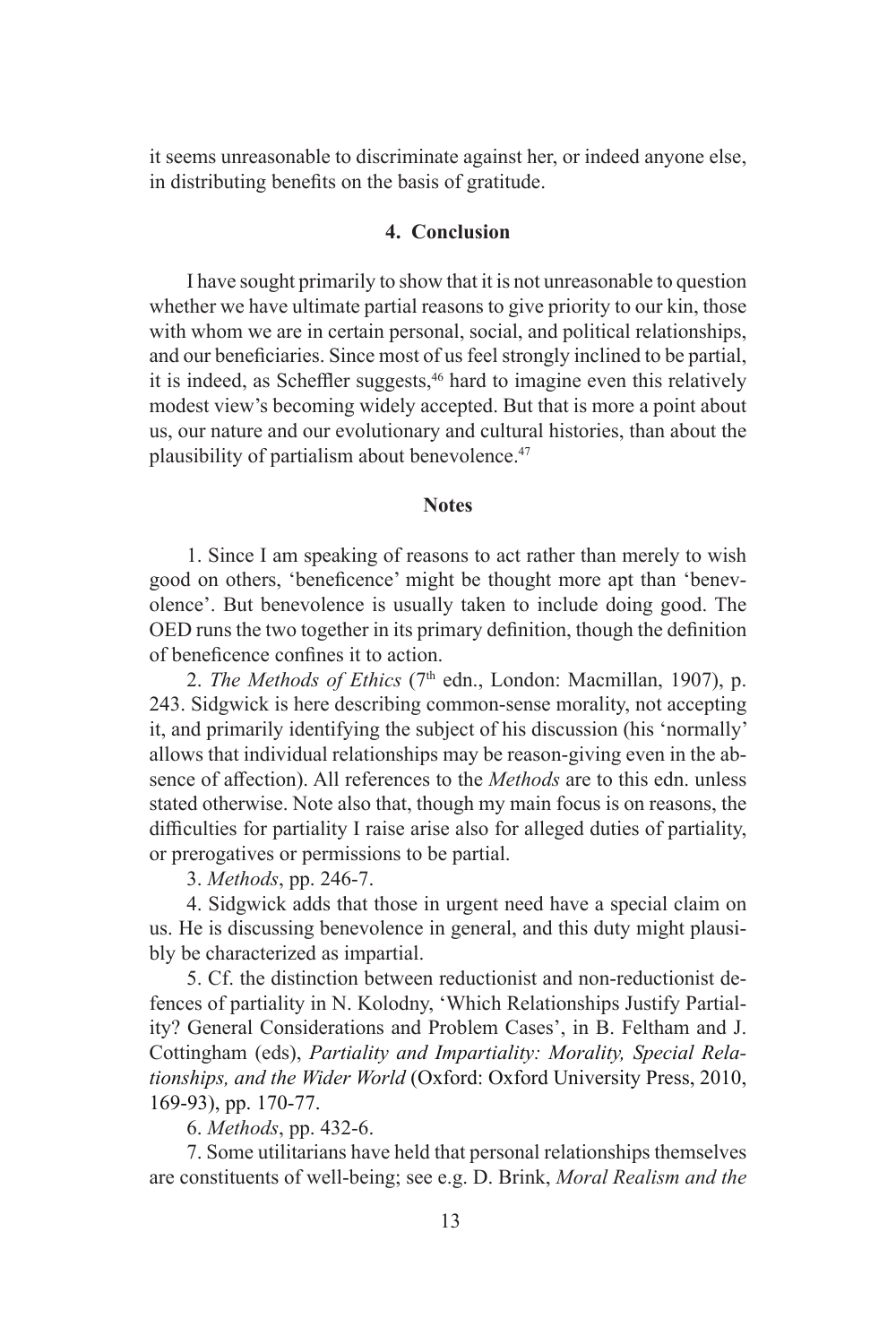it seems unreasonable to discriminate against her, or indeed anyone else, in distributing benefits on the basis of gratitude.

#### **4. Conclusion**

I have sought primarily to show that it is not unreasonable to question whether we have ultimate partial reasons to give priority to our kin, those with whom we are in certain personal, social, and political relationships, and our beneficiaries. Since most of us feel strongly inclined to be partial, it is indeed, as Scheffler suggests,<sup>46</sup> hard to imagine even this relatively modest view's becoming widely accepted. But that is more a point about us, our nature and our evolutionary and cultural histories, than about the plausibility of partialism about benevolence.47

#### **Notes**

1. Since I am speaking of reasons to act rather than merely to wish good on others, 'beneficence' might be thought more apt than 'benevolence'. But benevolence is usually taken to include doing good. The OED runs the two together in its primary definition, though the definition of beneficence confines it to action.

2. *The Methods of Ethics* (7<sup>th</sup> edn., London: Macmillan, 1907), p. 243. Sidgwick is here describing common-sense morality, not accepting it, and primarily identifying the subject of his discussion (his 'normally' allows that individual relationships may be reason-giving even in the absence of affection). All references to the *Methods* are to this edn. unless stated otherwise. Note also that, though my main focus is on reasons, the difficulties for partiality I raise arise also for alleged duties of partiality, or prerogatives or permissions to be partial.

3. *Methods*, pp. 246-7.

4. Sidgwick adds that those in urgent need have a special claim on us. He is discussing benevolence in general, and this duty might plausibly be characterized as impartial.

5. Cf. the distinction between reductionist and non-reductionist defences of partiality in N. Kolodny, 'Which Relationships Justify Partiality? General Considerations and Problem Cases', in B. Feltham and J. Cottingham (eds), *Partiality and Impartiality: Morality, Special Relationships, and the Wider World* (Oxford: Oxford University Press, 2010, 169-93), pp. 170-77.

6. *Methods*, pp. 432-6.

7. Some utilitarians have held that personal relationships themselves are constituents of well-being; see e.g. D. Brink, *Moral Realism and the*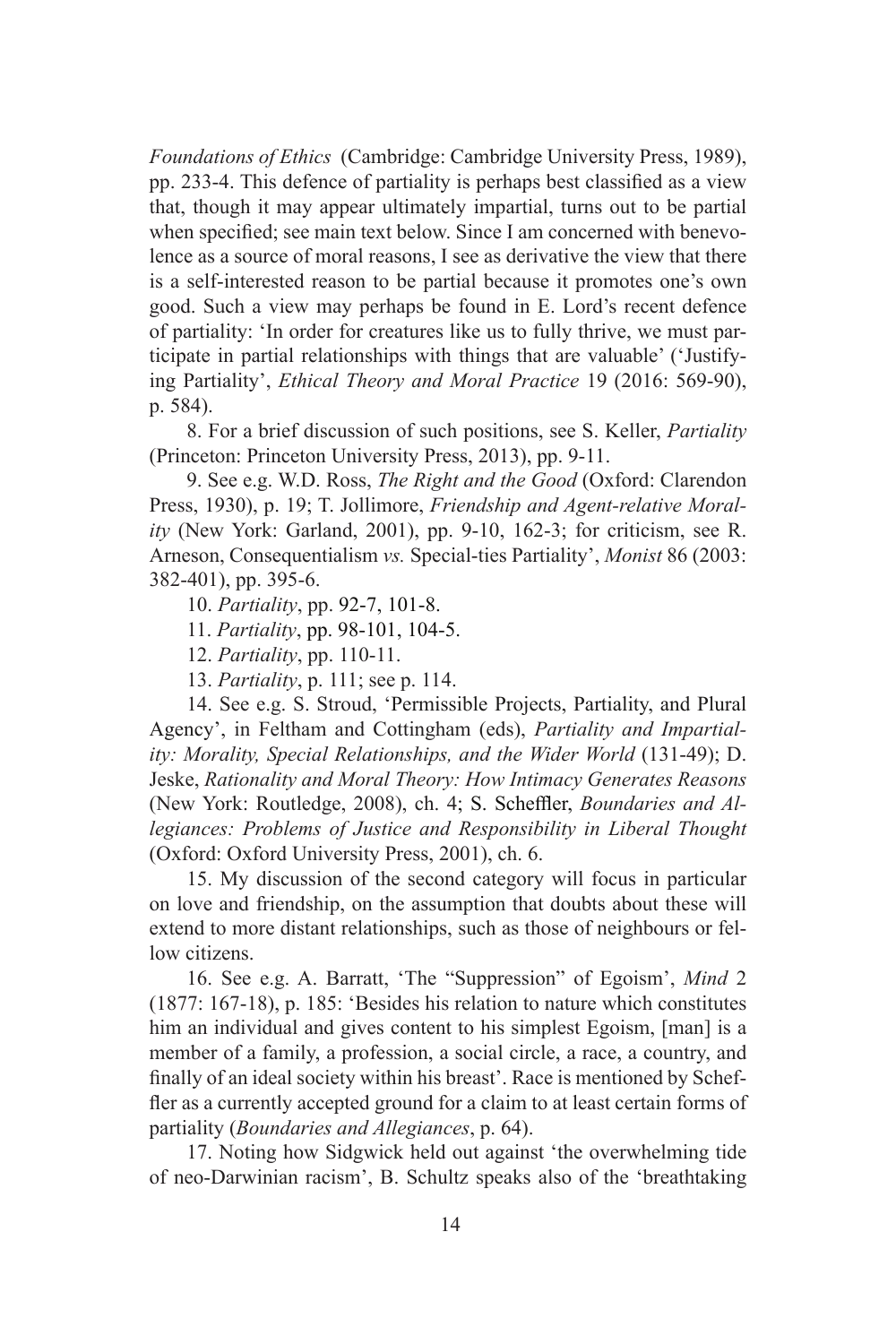*Foundations of Ethics* (Cambridge: Cambridge University Press, 1989), pp. 233-4. This defence of partiality is perhaps best classified as a view that, though it may appear ultimately impartial, turns out to be partial when specified; see main text below. Since I am concerned with benevolence as a source of moral reasons, I see as derivative the view that there is a self-interested reason to be partial because it promotes one's own good. Such a view may perhaps be found in E. Lord's recent defence of partiality: 'In order for creatures like us to fully thrive, we must participate in partial relationships with things that are valuable' ('Justifying Partiality', *Ethical Theory and Moral Practice* 19 (2016: 569-90), p. 584).

8. For a brief discussion of such positions, see S. Keller, *Partiality*  (Princeton: Princeton University Press, 2013), pp. 9-11.

9. See e.g. W.D. Ross, *The Right and the Good* (Oxford: Clarendon Press, 1930), p. 19; T. Jollimore, *Friendship and Agent-relative Morality* (New York: Garland, 2001), pp. 9-10, 162-3; for criticism, see R. Arneson, Consequentialism *vs.* Special-ties Partiality', *Monist* 86 (2003: 382-401), pp. 395-6.

10. *Partiality*, pp. 92-7, 101-8.

11. *Partiality*, pp. 98-101, 104-5.

12. *Partiality*, pp. 110-11.

13. *Partiality*, p. 111; see p. 114.

14. See e.g. S. Stroud, 'Permissible Projects, Partiality, and Plural Agency', in Feltham and Cottingham (eds), *Partiality and Impartiality: Morality, Special Relationships, and the Wider World* (131-49); D. Jeske, *Rationality and Moral Theory: How Intimacy Generates Reasons*  (New York: Routledge, 2008), ch. 4; S. Scheffler, *Boundaries and Allegiances: Problems of Justice and Responsibility in Liberal Thought* (Oxford: Oxford University Press, 2001), ch. 6.

15. My discussion of the second category will focus in particular on love and friendship, on the assumption that doubts about these will extend to more distant relationships, such as those of neighbours or fellow citizens.

16. See e.g. A. Barratt, 'The "Suppression" of Egoism', *Mind* 2 (1877: 167-18), p. 185: 'Besides his relation to nature which constitutes him an individual and gives content to his simplest Egoism, [man] is a member of a family, a profession, a social circle, a race, a country, and finally of an ideal society within his breast'. Race is mentioned by Scheffler as a currently accepted ground for a claim to at least certain forms of partiality (*Boundaries and Allegiances*, p. 64).

17. Noting how Sidgwick held out against 'the overwhelming tide of neo-Darwinian racism', B. Schultz speaks also of the 'breathtaking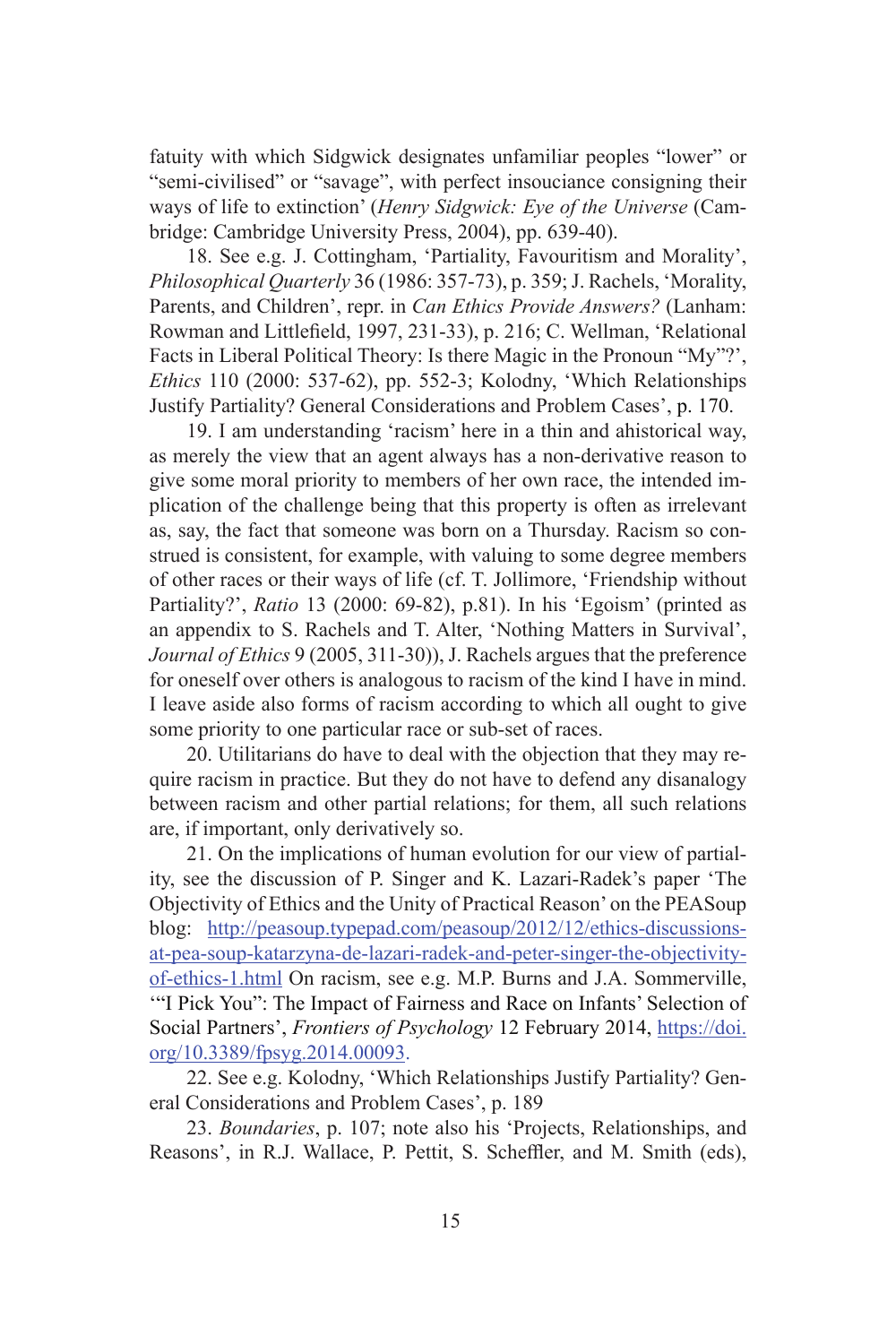fatuity with which Sidgwick designates unfamiliar peoples "lower" or "semi-civilised" or "savage", with perfect insouciance consigning their ways of life to extinction' (*Henry Sidgwick: Eye of the Universe* (Cambridge: Cambridge University Press, 2004), pp. 639-40).

18. See e.g. J. Cottingham, 'Partiality, Favouritism and Morality', *Philosophical Quarterly* 36 (1986: 357-73), p. 359; J. Rachels, 'Morality, Parents, and Children', repr. in *Can Ethics Provide Answers?* (Lanham: Rowman and Littlefield, 1997, 231-33), p. 216; C. Wellman, 'Relational Facts in Liberal Political Theory: Is there Magic in the Pronoun "My"?', *Ethics* 110 (2000: 537-62), pp. 552-3; Kolodny, 'Which Relationships Justify Partiality? General Considerations and Problem Cases', p. 170.

19. I am understanding 'racism' here in a thin and ahistorical way, as merely the view that an agent always has a non-derivative reason to give some moral priority to members of her own race, the intended implication of the challenge being that this property is often as irrelevant as, say, the fact that someone was born on a Thursday. Racism so construed is consistent, for example, with valuing to some degree members of other races or their ways of life (cf. T. Jollimore, 'Friendship without Partiality?', *Ratio* 13 (2000: 69-82), p.81). In his 'Egoism' (printed as an appendix to S. Rachels and T. Alter, 'Nothing Matters in Survival', *Journal of Ethics* 9 (2005, 311-30)), J. Rachels argues that the preference for oneself over others is analogous to racism of the kind I have in mind. I leave aside also forms of racism according to which all ought to give some priority to one particular race or sub-set of races.

20. Utilitarians do have to deal with the objection that they may require racism in practice. But they do not have to defend any disanalogy between racism and other partial relations; for them, all such relations are, if important, only derivatively so.

21. On the implications of human evolution for our view of partiality, see the discussion of P. Singer and K. Lazari-Radek's paper 'The Objectivity of Ethics and the Unity of Practical Reason' on the PEASoup blog: [http://peasoup.typepad.com/peasoup/2012/12/ethics-discussions](http://peasoup.typepad.com/peasoup/2012/12/ethics-discussions-at-pea-soup-katarzyna-de-lazari-radek-and-peter-singer-the-objectivity-of-ethics-1.html)[at-pea-soup-katarzyna-de-lazari-radek-and-peter-singer-the-objectivity](http://peasoup.typepad.com/peasoup/2012/12/ethics-discussions-at-pea-soup-katarzyna-de-lazari-radek-and-peter-singer-the-objectivity-of-ethics-1.html)[of-ethics-1.html](http://peasoup.typepad.com/peasoup/2012/12/ethics-discussions-at-pea-soup-katarzyna-de-lazari-radek-and-peter-singer-the-objectivity-of-ethics-1.html) On racism, see e.g. M.P. Burns and J.A. Sommerville, '"I Pick You": The Impact of Fairness and Race on Infants' Selection of Social Partners', *Frontiers of Psychology* 12 February 2014, [https://doi.](https://doi.org/10.3389/fpsyg.2014.00093) [org/10.3389/fpsyg.2014.00093](https://doi.org/10.3389/fpsyg.2014.00093).

22. See e.g. Kolodny, 'Which Relationships Justify Partiality? General Considerations and Problem Cases', p. 189

23. *Boundaries*, p. 107; note also his 'Projects, Relationships, and Reasons', in R.J. Wallace, P. Pettit, S. Scheffler, and M. Smith (eds),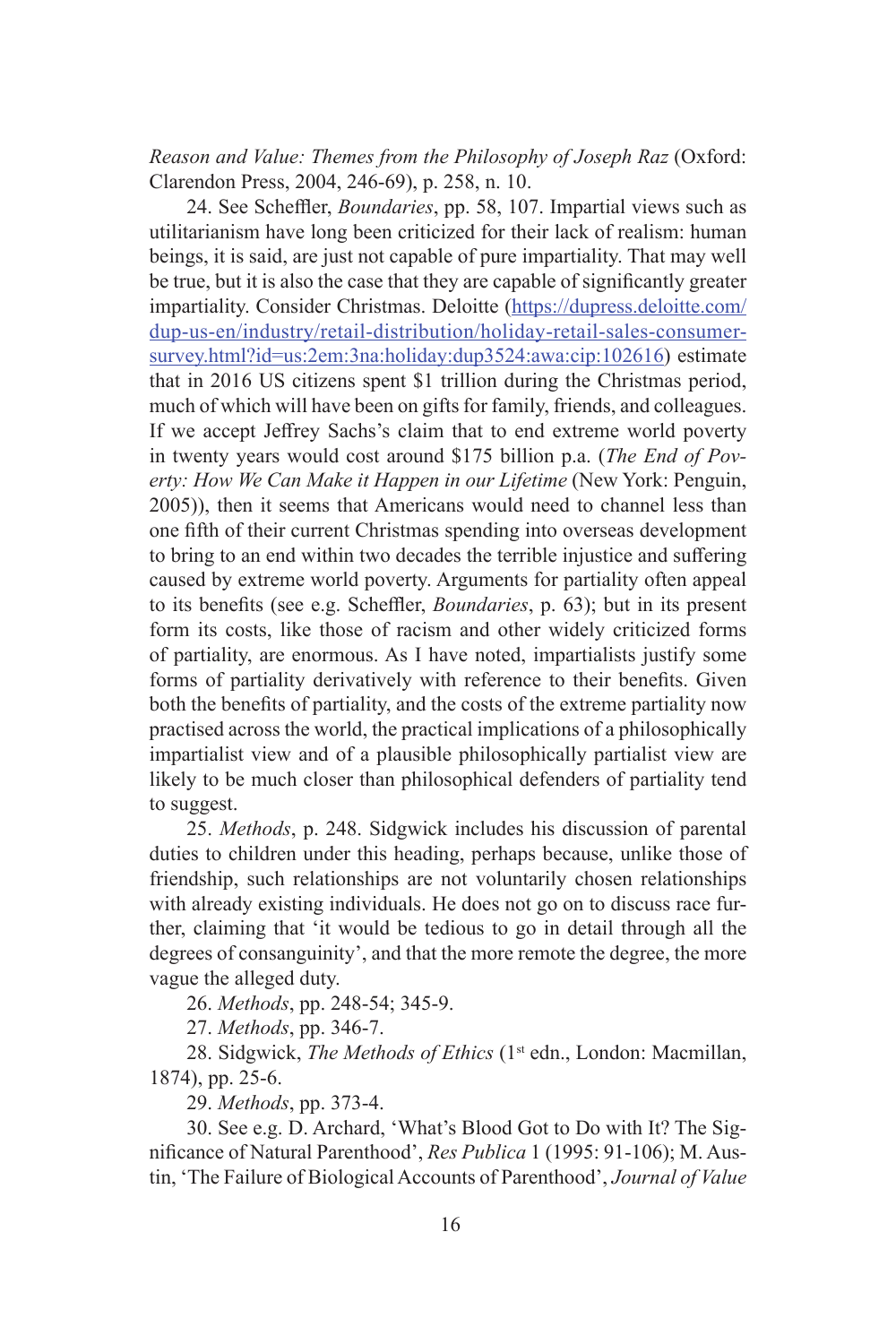*Reason and Value: Themes from the Philosophy of Joseph Raz* (Oxford: Clarendon Press, 2004, 246-69), p. 258, n. 10.

24. See Scheffler, *Boundaries*, pp. 58, 107. Impartial views such as utilitarianism have long been criticized for their lack of realism: human beings, it is said, are just not capable of pure impartiality. That may well be true, but it is also the case that they are capable of significantly greater impartiality. Consider Christmas. Deloitte ([https://dupress.deloitte.com/](https://dupress.deloitte.com/dup-us-en/industry/retail-distribution/holiday-retail-sales-consumer-survey.html?id=us:2em:3na:holiday:dup3524:awa:cip:102616) [dup-us-en/industry/retail-distribution/holiday-retail-sales-consumer](https://dupress.deloitte.com/dup-us-en/industry/retail-distribution/holiday-retail-sales-consumer-survey.html?id=us:2em:3na:holiday:dup3524:awa:cip:102616)[survey.html?id=us:2em:3na:holiday:dup3524:awa:cip:102616](https://dupress.deloitte.com/dup-us-en/industry/retail-distribution/holiday-retail-sales-consumer-survey.html?id=us:2em:3na:holiday:dup3524:awa:cip:102616)) estimate that in 2016 US citizens spent \$1 trillion during the Christmas period, much of which will have been on gifts for family, friends, and colleagues. If we accept Jeffrey Sachs's claim that to end extreme world poverty in twenty years would cost around \$175 billion p.a. (*The End of Poverty: How We Can Make it Happen in our Lifetime* (New York: Penguin, 2005)), then it seems that Americans would need to channel less than one fifth of their current Christmas spending into overseas development to bring to an end within two decades the terrible injustice and suffering caused by extreme world poverty. Arguments for partiality often appeal to its benefits (see e.g. Scheffler, *Boundaries*, p. 63); but in its present form its costs, like those of racism and other widely criticized forms of partiality, are enormous. As I have noted, impartialists justify some forms of partiality derivatively with reference to their benefits. Given both the benefits of partiality, and the costs of the extreme partiality now practised across the world, the practical implications of a philosophically impartialist view and of a plausible philosophically partialist view are likely to be much closer than philosophical defenders of partiality tend to suggest.

25. *Methods*, p. 248. Sidgwick includes his discussion of parental duties to children under this heading, perhaps because, unlike those of friendship, such relationships are not voluntarily chosen relationships with already existing individuals. He does not go on to discuss race further, claiming that 'it would be tedious to go in detail through all the degrees of consanguinity', and that the more remote the degree, the more vague the alleged duty.

26. *Methods*, pp. 248-54; 345-9.

27. *Methods*, pp. 346-7.

28. Sidgwick, *The Methods of Ethics* (1<sup>st</sup> edn., London: Macmillan, 1874), pp. 25-6.

29. *Methods*, pp. 373-4.

30. See e.g. D. Archard, 'What's Blood Got to Do with It? The Significance of Natural Parenthood', *Res Publica* 1 (1995: 91-106); M. Austin, 'The Failure of Biological Accounts of Parenthood', *Journal of Value*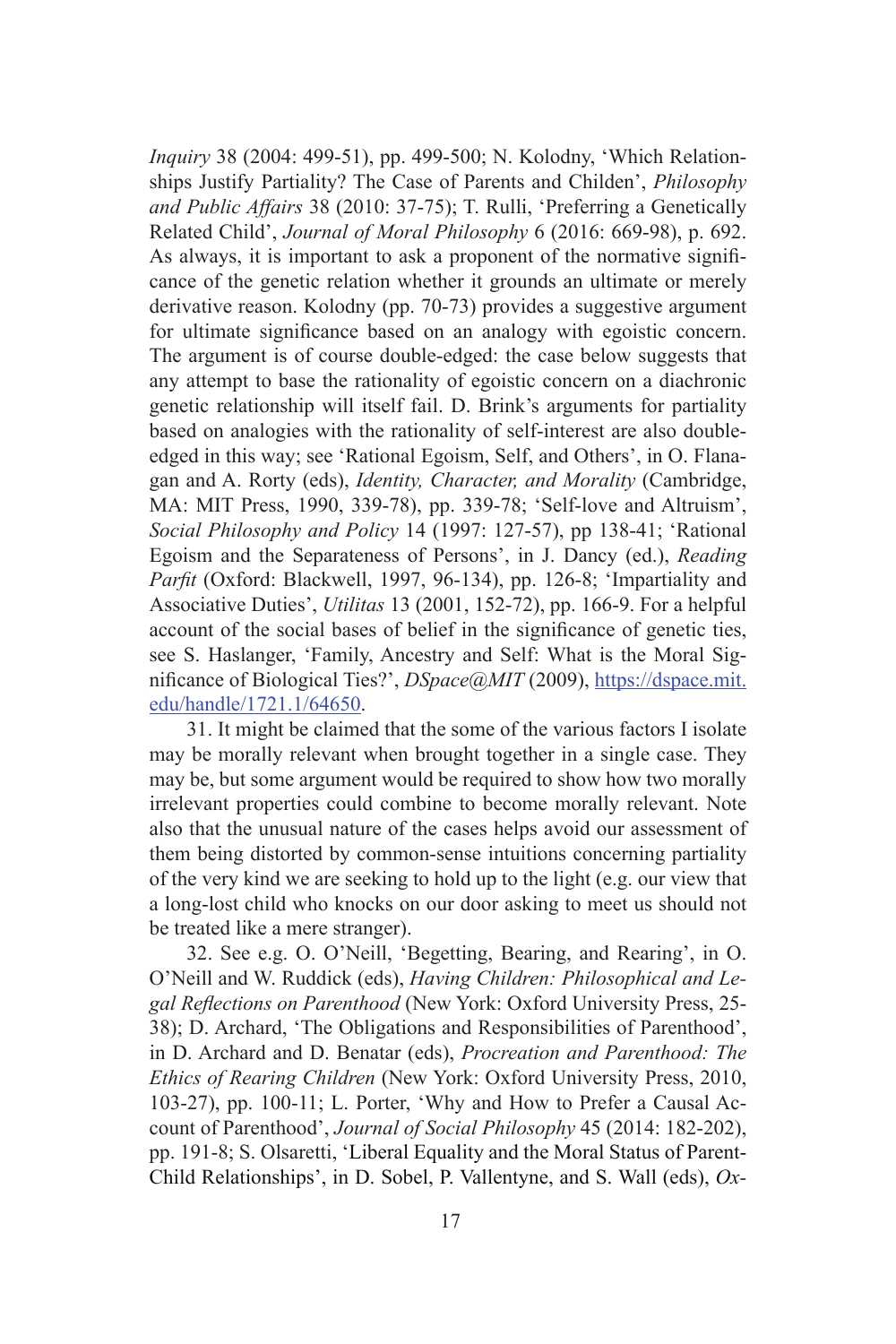*Inquiry* 38 (2004: 499-51), pp. 499-500; N. Kolodny, 'Which Relationships Justify Partiality? The Case of Parents and Childen', *Philosophy and Public Affairs* 38 (2010: 37-75); T. Rulli, 'Preferring a Genetically Related Child', *Journal of Moral Philosophy* 6 (2016: 669-98), p. 692. As always, it is important to ask a proponent of the normative significance of the genetic relation whether it grounds an ultimate or merely derivative reason. Kolodny (pp. 70-73) provides a suggestive argument for ultimate significance based on an analogy with egoistic concern. The argument is of course double-edged: the case below suggests that any attempt to base the rationality of egoistic concern on a diachronic genetic relationship will itself fail. D. Brink's arguments for partiality based on analogies with the rationality of self-interest are also doubleedged in this way; see 'Rational Egoism, Self, and Others', in O. Flanagan and A. Rorty (eds), *Identity, Character, and Morality* (Cambridge, MA: MIT Press, 1990, 339-78), pp. 339-78; 'Self-love and Altruism', *Social Philosophy and Policy* 14 (1997: 127-57), pp 138-41; 'Rational Egoism and the Separateness of Persons', in J. Dancy (ed.), *Reading Parfit* (Oxford: Blackwell, 1997, 96-134), pp. 126-8; 'Impartiality and Associative Duties', *Utilitas* 13 (2001, 152-72), pp. 166-9. For a helpful account of the social bases of belief in the significance of genetic ties, see S. Haslanger, 'Family, Ancestry and Self: What is the Moral Significance of Biological Ties?', *DSpace@MIT* (2009), [https://dspace.mit.](https://dspace.mit.edu/handle/1721.1/64650) [edu/handle/1721.1/64650.](https://dspace.mit.edu/handle/1721.1/64650)

31. It might be claimed that the some of the various factors I isolate may be morally relevant when brought together in a single case. They may be, but some argument would be required to show how two morally irrelevant properties could combine to become morally relevant. Note also that the unusual nature of the cases helps avoid our assessment of them being distorted by common-sense intuitions concerning partiality of the very kind we are seeking to hold up to the light (e.g. our view that a long-lost child who knocks on our door asking to meet us should not be treated like a mere stranger).

32. See e.g. O. O'Neill, 'Begetting, Bearing, and Rearing', in O. O'Neill and W. Ruddick (eds), *Having Children: Philosophical and Legal Reflections on Parenthood* (New York: Oxford University Press, 25- 38); D. Archard, 'The Obligations and Responsibilities of Parenthood', in D. Archard and D. Benatar (eds), *Procreation and Parenthood: The Ethics of Rearing Children* (New York: Oxford University Press, 2010, 103-27), pp. 100-11; L. Porter, 'Why and How to Prefer a Causal Account of Parenthood', *Journal of Social Philosophy* 45 (2014: 182-202), pp. 191-8; S. Olsaretti, 'Liberal Equality and the Moral Status of Parent-Child Relationships', in D. Sobel, P. Vallentyne, and S. Wall (eds), *Ox-*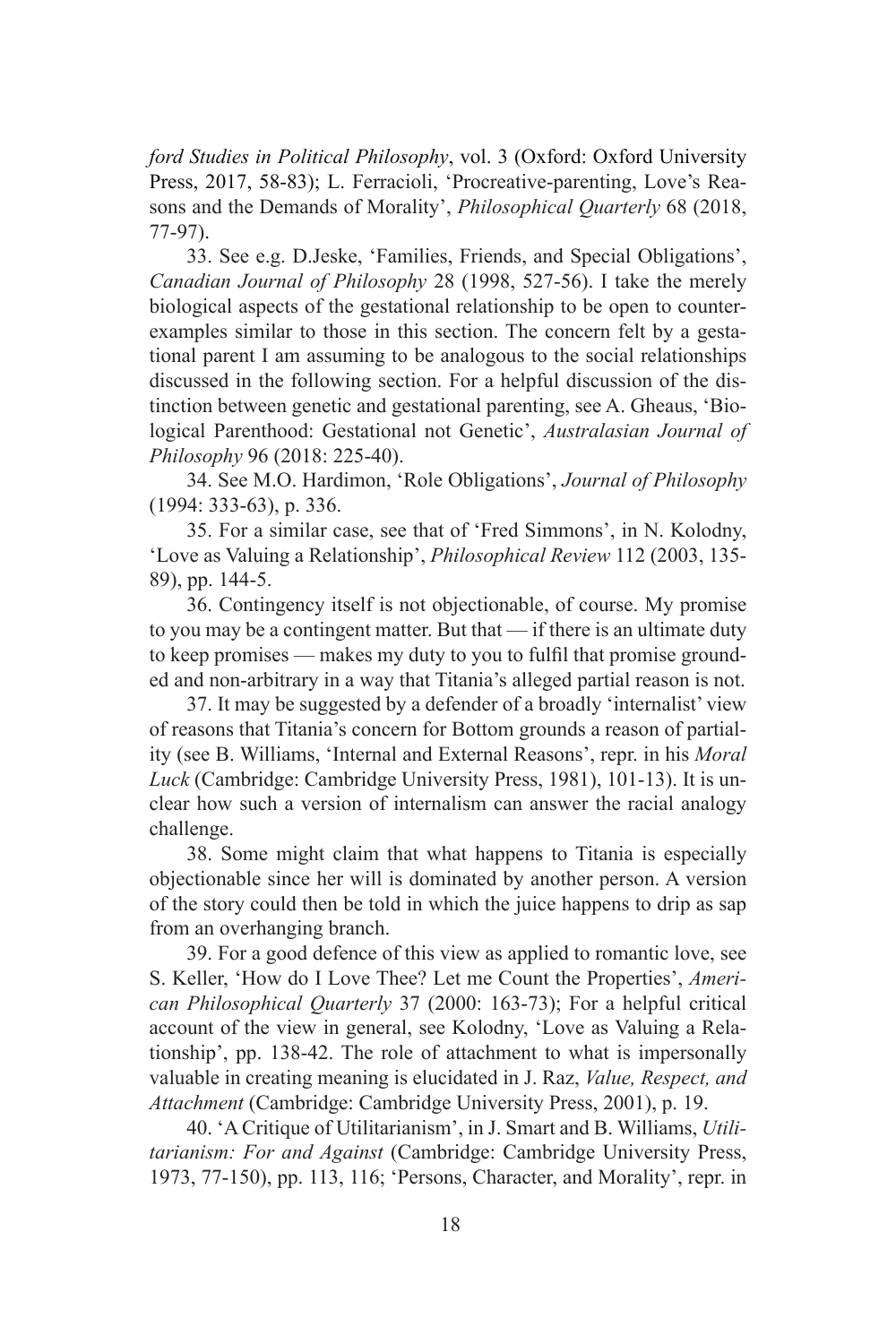*ford Studies in Political Philosophy*, vol. 3 (Oxford: Oxford University Press, 2017, 58-83); L. Ferracioli, 'Procreative-parenting, Love's Reasons and the Demands of Morality', *Philosophical Quarterly* 68 (2018, 77-97).

33. See e.g. D.Jeske, 'Families, Friends, and Special Obligations', *Canadian Journal of Philosophy* 28 (1998, 527-56). I take the merely biological aspects of the gestational relationship to be open to counterexamples similar to those in this section. The concern felt by a gestational parent I am assuming to be analogous to the social relationships discussed in the following section. For a helpful discussion of the distinction between genetic and gestational parenting, see A. Gheaus, 'Biological Parenthood: Gestational not Genetic', *Australasian Journal of Philosophy* 96 (2018: 225-40).

34. See M.O. Hardimon, 'Role Obligations', *Journal of Philosophy* (1994: 333-63), p. 336.

35. For a similar case, see that of 'Fred Simmons', in N. Kolodny, 'Love as Valuing a Relationship', *Philosophical Review* 112 (2003, 135- 89), pp. 144-5.

36. Contingency itself is not objectionable, of course. My promise to you may be a contingent matter. But that — if there is an ultimate duty to keep promises — makes my duty to you to fulfil that promise grounded and non-arbitrary in a way that Titania's alleged partial reason is not.

37. It may be suggested by a defender of a broadly 'internalist' view of reasons that Titania's concern for Bottom grounds a reason of partiality (see B. Williams, 'Internal and External Reasons', repr. in his *Moral Luck* (Cambridge: Cambridge University Press, 1981), 101-13). It is unclear how such a version of internalism can answer the racial analogy challenge.

38. Some might claim that what happens to Titania is especially objectionable since her will is dominated by another person. A version of the story could then be told in which the juice happens to drip as sap from an overhanging branch.

39. For a good defence of this view as applied to romantic love, see S. Keller, 'How do I Love Thee? Let me Count the Properties', *American Philosophical Quarterly* 37 (2000: 163-73); For a helpful critical account of the view in general, see Kolodny, 'Love as Valuing a Relationship', pp. 138-42. The role of attachment to what is impersonally valuable in creating meaning is elucidated in J. Raz, *Value, Respect, and Attachment* (Cambridge: Cambridge University Press, 2001), p. 19.

40. 'A Critique of Utilitarianism', in J. Smart and B. Williams, *Utilitarianism: For and Against* (Cambridge: Cambridge University Press, 1973, 77-150), pp. 113, 116; 'Persons, Character, and Morality', repr. in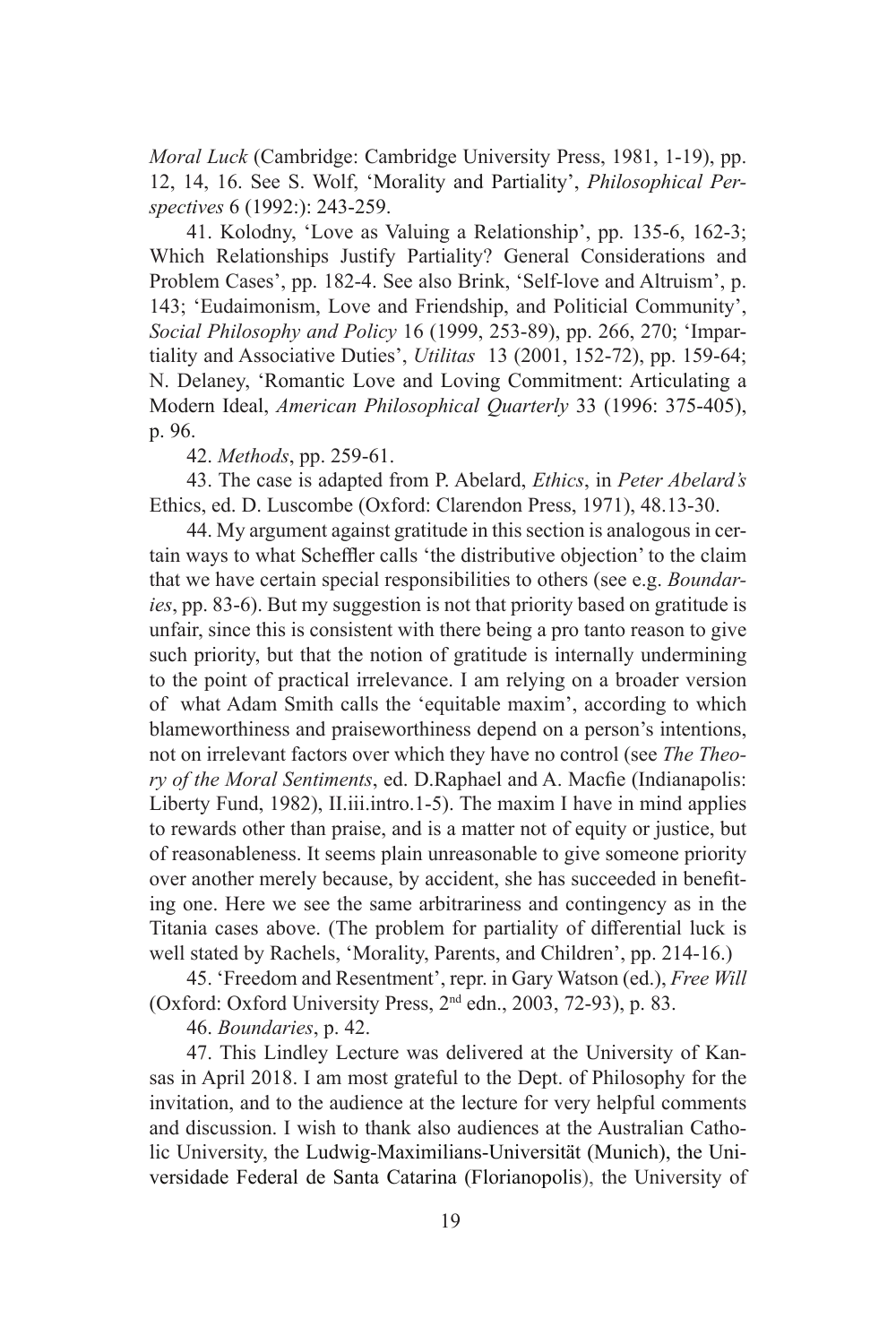*Moral Luck* (Cambridge: Cambridge University Press, 1981, 1-19), pp. 12, 14, 16. See S. Wolf, 'Morality and Partiality', *Philosophical Perspectives* 6 (1992:): 243-259.

41. Kolodny, 'Love as Valuing a Relationship', pp. 135-6, 162-3; Which Relationships Justify Partiality? General Considerations and Problem Cases', pp. 182-4. See also Brink, 'Self-love and Altruism', p. 143; 'Eudaimonism, Love and Friendship, and Politicial Community', *Social Philosophy and Policy* 16 (1999, 253-89), pp. 266, 270; 'Impartiality and Associative Duties', *Utilitas* 13 (2001, 152-72), pp. 159-64; N. Delaney, 'Romantic Love and Loving Commitment: Articulating a Modern Ideal, *American Philosophical Quarterly* 33 (1996: 375-405), p. 96.

42. *Methods*, pp. 259-61.

43. The case is adapted from P. Abelard, *Ethics*, in *Peter Abelard's*  Ethics, ed. D. Luscombe (Oxford: Clarendon Press, 1971), 48.13-30.

44. My argument against gratitude in this section is analogous in certain ways to what Scheffler calls 'the distributive objection' to the claim that we have certain special responsibilities to others (see e.g. *Boundaries*, pp. 83-6). But my suggestion is not that priority based on gratitude is unfair, since this is consistent with there being a pro tanto reason to give such priority, but that the notion of gratitude is internally undermining to the point of practical irrelevance. I am relying on a broader version of what Adam Smith calls the 'equitable maxim', according to which blameworthiness and praiseworthiness depend on a person's intentions, not on irrelevant factors over which they have no control (see *The Theory of the Moral Sentiments*, ed. D.Raphael and A. Macfie (Indianapolis: Liberty Fund, 1982), II.iii.intro.1-5). The maxim I have in mind applies to rewards other than praise, and is a matter not of equity or justice, but of reasonableness. It seems plain unreasonable to give someone priority over another merely because, by accident, she has succeeded in benefiting one. Here we see the same arbitrariness and contingency as in the Titania cases above. (The problem for partiality of differential luck is well stated by Rachels, 'Morality, Parents, and Children', pp. 214-16.)

45. 'Freedom and Resentment', repr. in Gary Watson (ed.), *Free Will* (Oxford: Oxford University Press, 2nd edn., 2003, 72-93), p. 83.

46. *Boundaries*, p. 42.

47. This Lindley Lecture was delivered at the University of Kansas in April 2018. I am most grateful to the Dept. of Philosophy for the invitation, and to the audience at the lecture for very helpful comments and discussion. I wish to thank also audiences at the Australian Catholic University, the Ludwig-Maximilians-Universität (Munich), the Universidade Federal de Santa Catarina (Florianopolis), the University of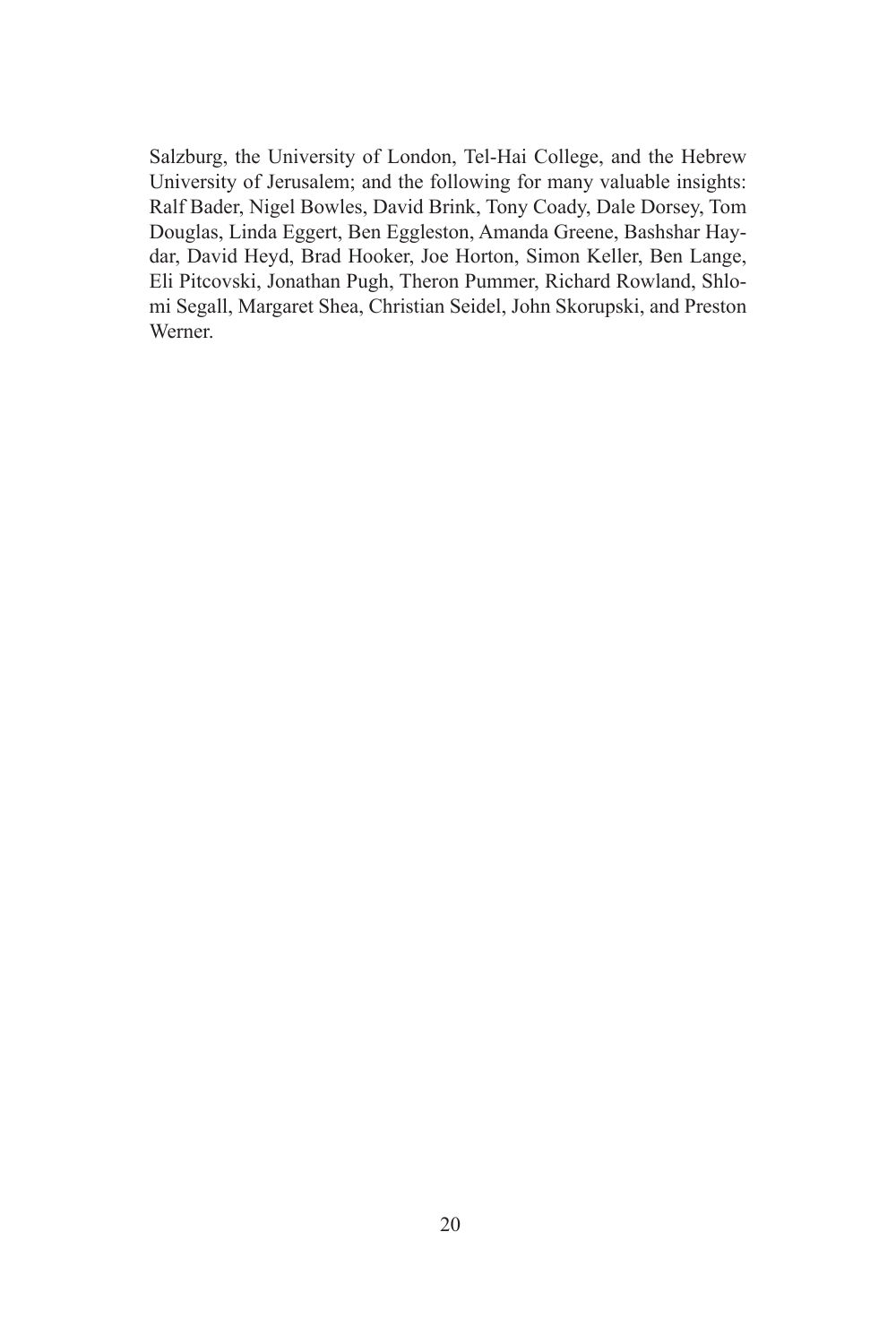Salzburg, the University of London, Tel-Hai College, and the Hebrew University of Jerusalem; and the following for many valuable insights: Ralf Bader, Nigel Bowles, David Brink, Tony Coady, Dale Dorsey, Tom Douglas, Linda Eggert, Ben Eggleston, Amanda Greene, Bashshar Haydar, David Heyd, Brad Hooker, Joe Horton, Simon Keller, Ben Lange, Eli Pitcovski, Jonathan Pugh, Theron Pummer, Richard Rowland, Shlomi Segall, Margaret Shea, Christian Seidel, John Skorupski, and Preston Werner.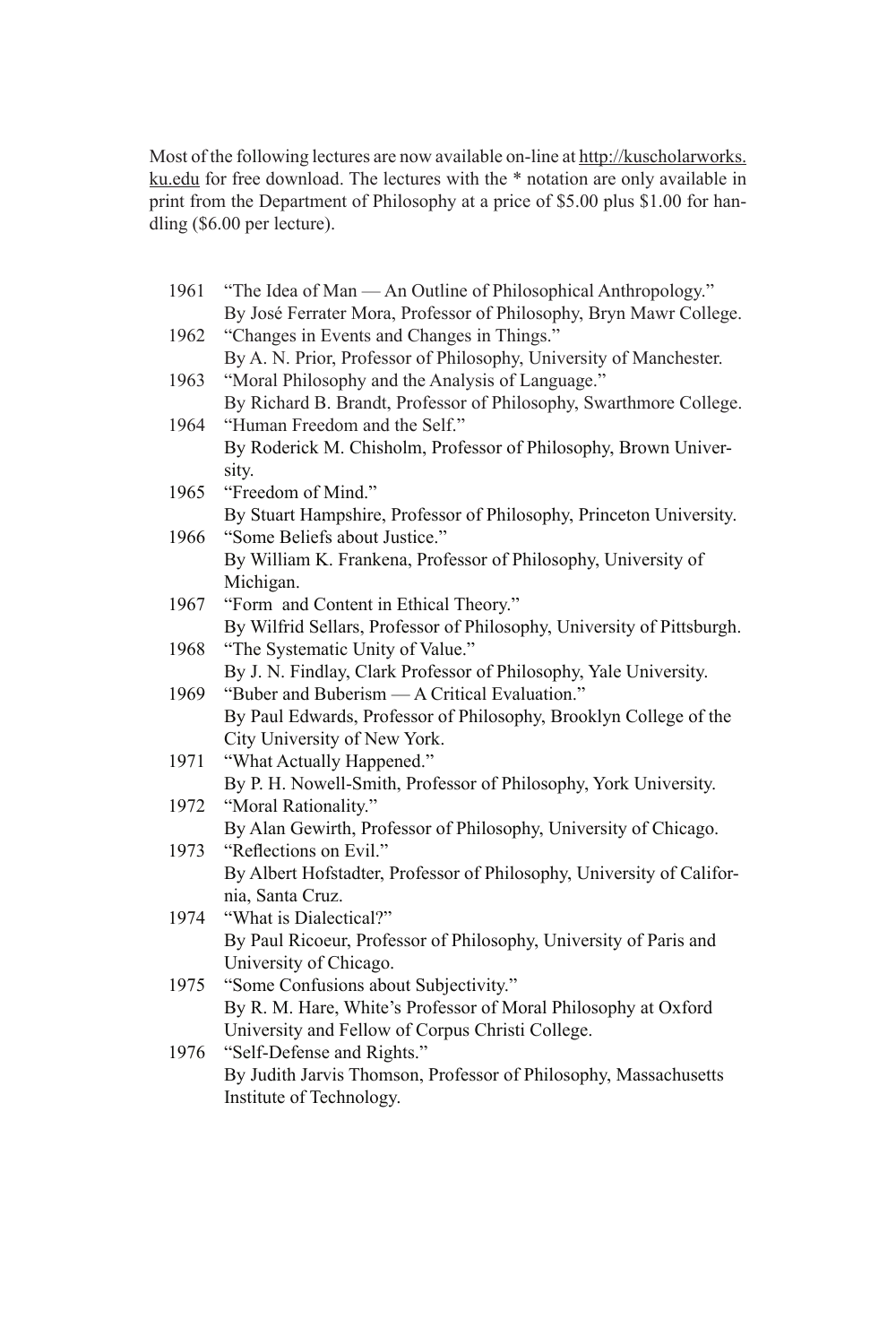Most of the following lectures are now available on-line at http://kuscholarworks. ku.edu for free download. The lectures with the \* notation are only available in print from the Department of Philosophy at a price of \$5.00 plus \$1.00 for handling (\$6.00 per lecture).

| 1961 | "The Idea of Man — An Outline of Philosophical Anthropology."          |
|------|------------------------------------------------------------------------|
|      | By José Ferrater Mora, Professor of Philosophy, Bryn Mawr College.     |
| 1962 | "Changes in Events and Changes in Things."                             |
|      | By A. N. Prior, Professor of Philosophy, University of Manchester.     |
| 1963 | "Moral Philosophy and the Analysis of Language."                       |
|      | By Richard B. Brandt, Professor of Philosophy, Swarthmore College.     |
| 1964 | "Human Freedom and the Self."                                          |
|      | By Roderick M. Chisholm, Professor of Philosophy, Brown Univer-        |
|      | sity.                                                                  |
| 1965 | "Freedom of Mind."                                                     |
|      | By Stuart Hampshire, Professor of Philosophy, Princeton University.    |
| 1966 | "Some Beliefs about Justice."                                          |
|      | By William K. Frankena, Professor of Philosophy, University of         |
|      | Michigan.                                                              |
| 1967 | "Form and Content in Ethical Theory."                                  |
|      | By Wilfrid Sellars, Professor of Philosophy, University of Pittsburgh. |
| 1968 | "The Systematic Unity of Value."                                       |
|      | By J. N. Findlay, Clark Professor of Philosophy, Yale University.      |
| 1969 | "Buber and Buberism — A Critical Evaluation."                          |
|      | By Paul Edwards, Professor of Philosophy, Brooklyn College of the      |
|      | City University of New York.                                           |
| 1971 | "What Actually Happened."                                              |
|      | By P. H. Nowell-Smith, Professor of Philosophy, York University.       |
| 1972 | "Moral Rationality."                                                   |
|      | By Alan Gewirth, Professor of Philosophy, University of Chicago.       |
| 1973 | "Reflections on Evil."                                                 |
|      | By Albert Hofstadter, Professor of Philosophy, University of Califor-  |
|      | nia, Santa Cruz.                                                       |
| 1974 | "What is Dialectical?"                                                 |
|      | By Paul Ricoeur, Professor of Philosophy, University of Paris and      |
|      | University of Chicago.                                                 |
| 1975 | "Some Confusions about Subjectivity."                                  |
|      | By R. M. Hare, White's Professor of Moral Philosophy at Oxford         |
|      | University and Fellow of Corpus Christi College.                       |
| 1976 | "Self-Defense and Rights."                                             |
|      | By Judith Jarvis Thomson, Professor of Philosophy, Massachusetts       |
|      | Institute of Technology.                                               |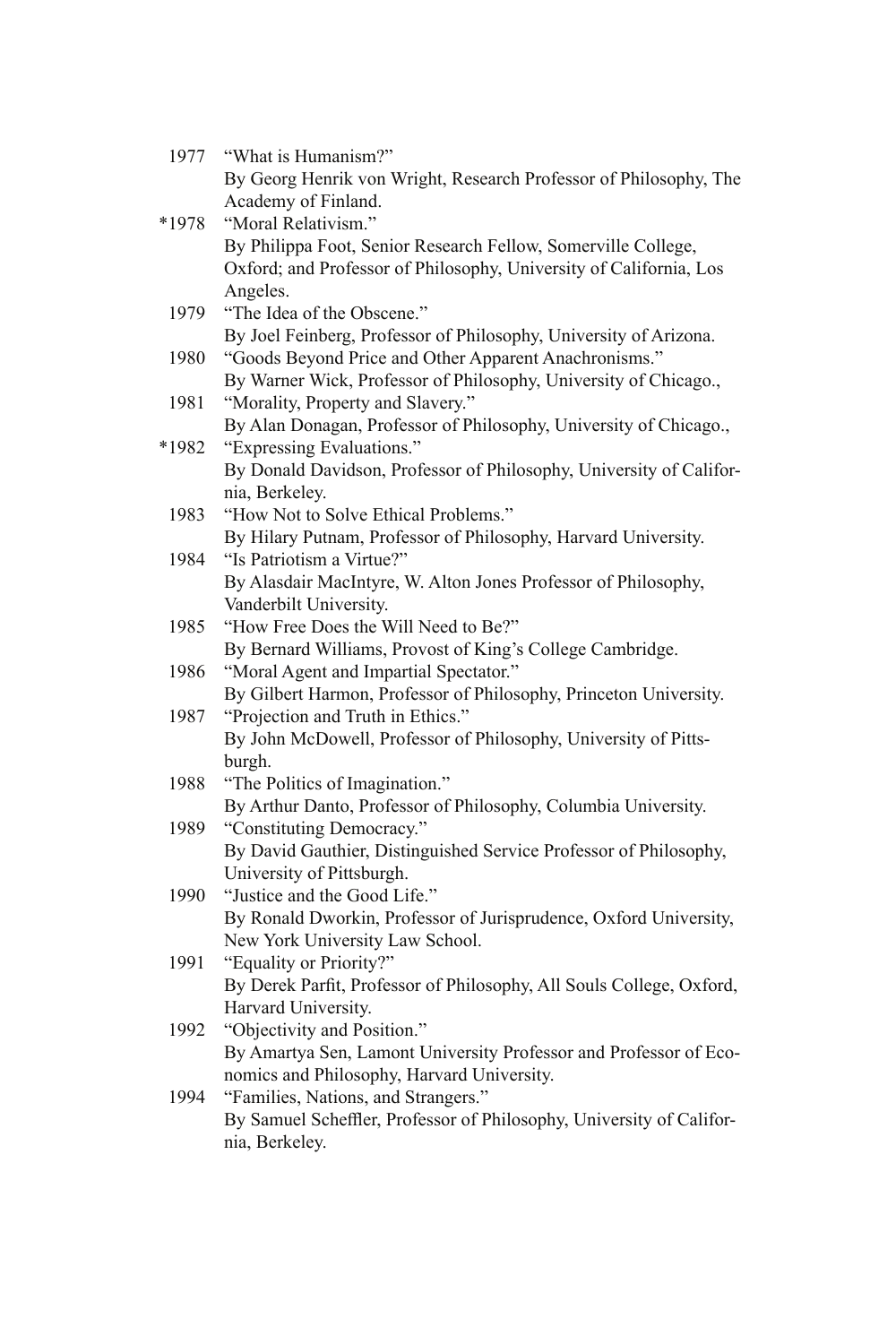| 1977  | "What is Humanism?"                                                  |
|-------|----------------------------------------------------------------------|
|       | By Georg Henrik von Wright, Research Professor of Philosophy, The    |
|       | Academy of Finland.                                                  |
| *1978 | "Moral Relativism."                                                  |
|       | By Philippa Foot, Senior Research Fellow, Somerville College,        |
|       | Oxford; and Professor of Philosophy, University of California, Los   |
|       | Angeles.                                                             |
| 1979  | "The Idea of the Obscene."                                           |
|       | By Joel Feinberg, Professor of Philosophy, University of Arizona.    |
| 1980  | "Goods Beyond Price and Other Apparent Anachronisms."                |
|       | By Warner Wick, Professor of Philosophy, University of Chicago.,     |
| 1981  | "Morality, Property and Slavery."                                    |
|       | By Alan Donagan, Professor of Philosophy, University of Chicago.,    |
| *1982 | "Expressing Evaluations."                                            |
|       | By Donald Davidson, Professor of Philosophy, University of Califor-  |
|       | nia, Berkeley.                                                       |
| 1983  | "How Not to Solve Ethical Problems."                                 |
|       | By Hilary Putnam, Professor of Philosophy, Harvard University.       |
| 1984  | "Is Patriotism a Virtue?"                                            |
|       | By Alasdair MacIntyre, W. Alton Jones Professor of Philosophy,       |
|       | Vanderbilt University.                                               |
| 1985  | "How Free Does the Will Need to Be?"                                 |
|       | By Bernard Williams, Provost of King's College Cambridge.            |
| 1986  | "Moral Agent and Impartial Spectator."                               |
|       | By Gilbert Harmon, Professor of Philosophy, Princeton University.    |
| 1987  | "Projection and Truth in Ethics."                                    |
|       | By John McDowell, Professor of Philosophy, University of Pitts-      |
|       | burgh.                                                               |
| 1988  | "The Politics of Imagination."                                       |
|       | By Arthur Danto, Professor of Philosophy, Columbia University.       |
| 1989  | "Constituting Democracy."                                            |
|       | By David Gauthier, Distinguished Service Professor of Philosophy,    |
|       | University of Pittsburgh.                                            |
| 1990  | "Justice and the Good Life."                                         |
|       | By Ronald Dworkin, Professor of Jurisprudence, Oxford University,    |
| 1991  | New York University Law School.<br>"Equality or Priority?"           |
|       | By Derek Parfit, Professor of Philosophy, All Souls College, Oxford, |
|       | Harvard University.                                                  |
| 1992  | "Objectivity and Position."                                          |
|       | By Amartya Sen, Lamont University Professor and Professor of Eco-    |
|       | nomics and Philosophy, Harvard University.                           |
| 1994  | "Families, Nations, and Strangers."                                  |
|       | By Samuel Scheffler, Professor of Philosophy, University of Califor- |
|       | nia, Berkeley.                                                       |
|       |                                                                      |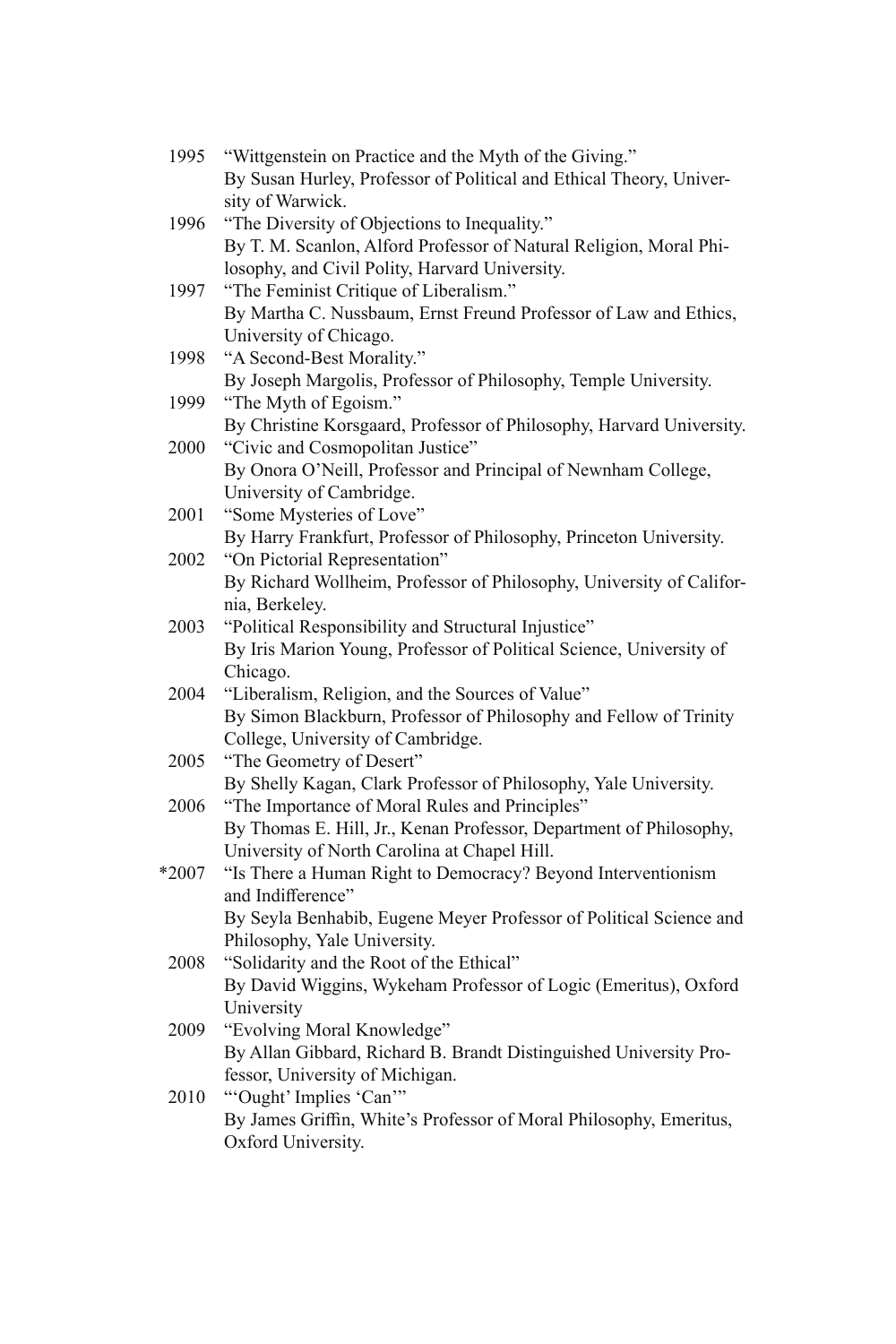| 1995  | "Wittgenstein on Practice and the Myth of the Giving."               |
|-------|----------------------------------------------------------------------|
|       | By Susan Hurley, Professor of Political and Ethical Theory, Univer-  |
|       | sity of Warwick.                                                     |
| 1996  | "The Diversity of Objections to Inequality."                         |
|       | By T. M. Scanlon, Alford Professor of Natural Religion, Moral Phi-   |
|       | losophy, and Civil Polity, Harvard University.                       |
| 1997  | "The Feminist Critique of Liberalism."                               |
|       | By Martha C. Nussbaum, Ernst Freund Professor of Law and Ethics,     |
|       | University of Chicago.                                               |
| 1998  | "A Second-Best Morality."                                            |
|       | By Joseph Margolis, Professor of Philosophy, Temple University.      |
| 1999  | "The Myth of Egoism."                                                |
|       | By Christine Korsgaard, Professor of Philosophy, Harvard University. |
| 2000  | "Civic and Cosmopolitan Justice"                                     |
|       | By Onora O'Neill, Professor and Principal of Newnham College,        |
|       | University of Cambridge.                                             |
| 2001  | "Some Mysteries of Love"                                             |
|       | By Harry Frankfurt, Professor of Philosophy, Princeton University.   |
| 2002  | "On Pictorial Representation"                                        |
|       | By Richard Wollheim, Professor of Philosophy, University of Califor- |
|       | nia, Berkeley.                                                       |
| 2003  | "Political Responsibility and Structural Injustice"                  |
|       | By Iris Marion Young, Professor of Political Science, University of  |
|       | Chicago.                                                             |
| 2004  | "Liberalism, Religion, and the Sources of Value"                     |
|       | By Simon Blackburn, Professor of Philosophy and Fellow of Trinity    |
|       | College, University of Cambridge.                                    |
| 2005  | "The Geometry of Desert"                                             |
|       | By Shelly Kagan, Clark Professor of Philosophy, Yale University.     |
| 2006  | "The Importance of Moral Rules and Principles"                       |
|       | By Thomas E. Hill, Jr., Kenan Professor, Department of Philosophy,   |
|       | University of North Carolina at Chapel Hill.                         |
| *2007 | "Is There a Human Right to Democracy? Beyond Interventionism         |
|       | and Indifference"                                                    |
|       | By Seyla Benhabib, Eugene Meyer Professor of Political Science and   |
|       | Philosophy, Yale University.                                         |
| 2008  | "Solidarity and the Root of the Ethical"                             |
|       | By David Wiggins, Wykeham Professor of Logic (Emeritus), Oxford      |
|       | University                                                           |
| 2009  | "Evolving Moral Knowledge"                                           |
|       | By Allan Gibbard, Richard B. Brandt Distinguished University Pro-    |
| 2010  | fessor, University of Michigan.<br>"Ought' Implies 'Can'"            |
|       | By James Griffin, White's Professor of Moral Philosophy, Emeritus,   |
|       | Oxford University.                                                   |
|       |                                                                      |
|       |                                                                      |